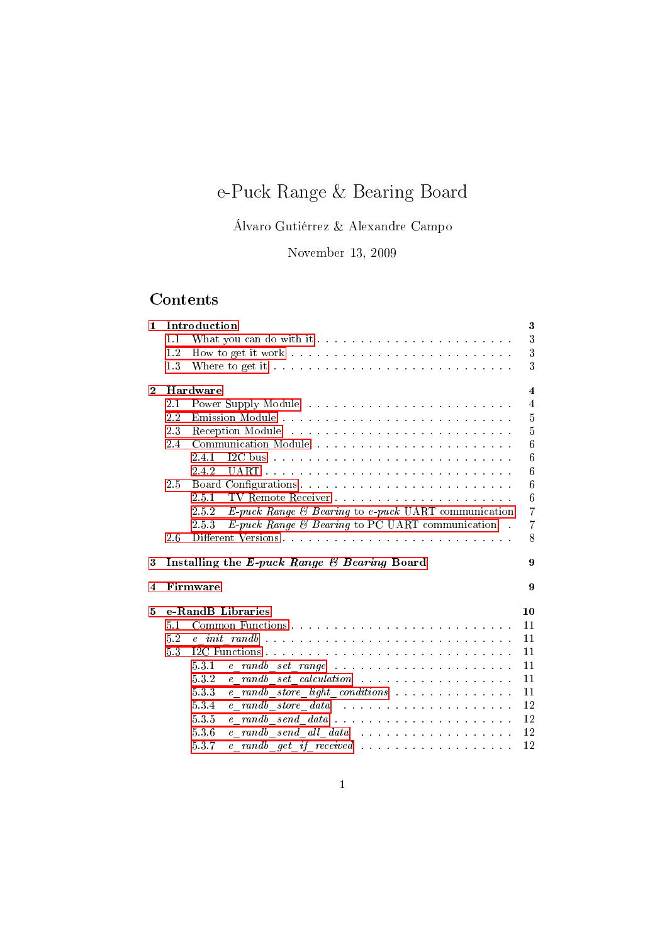# e-Puck Range & Bearing Board

Álvaro Gutiérrez & Alexandre Campo

November 13, 2009

## Contents

| 1                       | Introduction |                                                                                                                                                                                                                                         |                         |  |
|-------------------------|--------------|-----------------------------------------------------------------------------------------------------------------------------------------------------------------------------------------------------------------------------------------|-------------------------|--|
|                         | 1.1          |                                                                                                                                                                                                                                         | 3                       |  |
|                         | 1.2          |                                                                                                                                                                                                                                         | 3                       |  |
|                         | 1.3          |                                                                                                                                                                                                                                         | 3                       |  |
| $\bf{2}$                |              | Hardware                                                                                                                                                                                                                                | $\overline{\mathbf{4}}$ |  |
|                         | 2.1          |                                                                                                                                                                                                                                         | $\overline{4}$          |  |
|                         | 2.2          |                                                                                                                                                                                                                                         | 5                       |  |
|                         | 2.3          |                                                                                                                                                                                                                                         | $\overline{5}$          |  |
|                         | 2.4          |                                                                                                                                                                                                                                         | 6                       |  |
|                         |              | 2.4.1<br>I2C bus and a construction of the construction of the construction of the construction of the construction of the construction of the construction of the construction of the construction of the construction of the construc | 6                       |  |
|                         |              | 2.4.2                                                                                                                                                                                                                                   | 6                       |  |
|                         | 2.5          |                                                                                                                                                                                                                                         | $\overline{6}$          |  |
|                         |              | 2.5.1                                                                                                                                                                                                                                   | 6                       |  |
|                         |              | E-puck Range & Bearing to e-puck UART communication<br>2.5.2                                                                                                                                                                            | $\overline{7}$          |  |
|                         |              | $E$ -puck Range & Bearing to PC UART communication<br>2.5.3<br>$\sim$                                                                                                                                                                   | $\overline{7}$          |  |
|                         | 2.6          |                                                                                                                                                                                                                                         | 8                       |  |
| 3                       |              | Installing the E-puck Range & Bearing Board                                                                                                                                                                                             | 9                       |  |
| $\overline{\mathbf{4}}$ |              | Firmware<br>9                                                                                                                                                                                                                           |                         |  |
| e-RandB Libraries<br>5  |              |                                                                                                                                                                                                                                         | 10                      |  |
|                         | 5.1          |                                                                                                                                                                                                                                         | 11                      |  |
|                         | 5.2          |                                                                                                                                                                                                                                         | 11                      |  |
|                         | 5.3          |                                                                                                                                                                                                                                         | 11                      |  |
|                         |              | 531                                                                                                                                                                                                                                     | 11                      |  |
|                         |              | 532                                                                                                                                                                                                                                     | 11                      |  |
|                         |              | e randb store light conditions<br>533                                                                                                                                                                                                   | 11                      |  |
|                         |              | $5.3.4\,$                                                                                                                                                                                                                               | 12                      |  |
|                         |              | $5.3\,5$<br>$e$ randb send data                                                                                                                                                                                                         | 12                      |  |
|                         |              | 536<br>e randb send all data                                                                                                                                                                                                            | 12                      |  |
|                         |              | 537                                                                                                                                                                                                                                     | 12                      |  |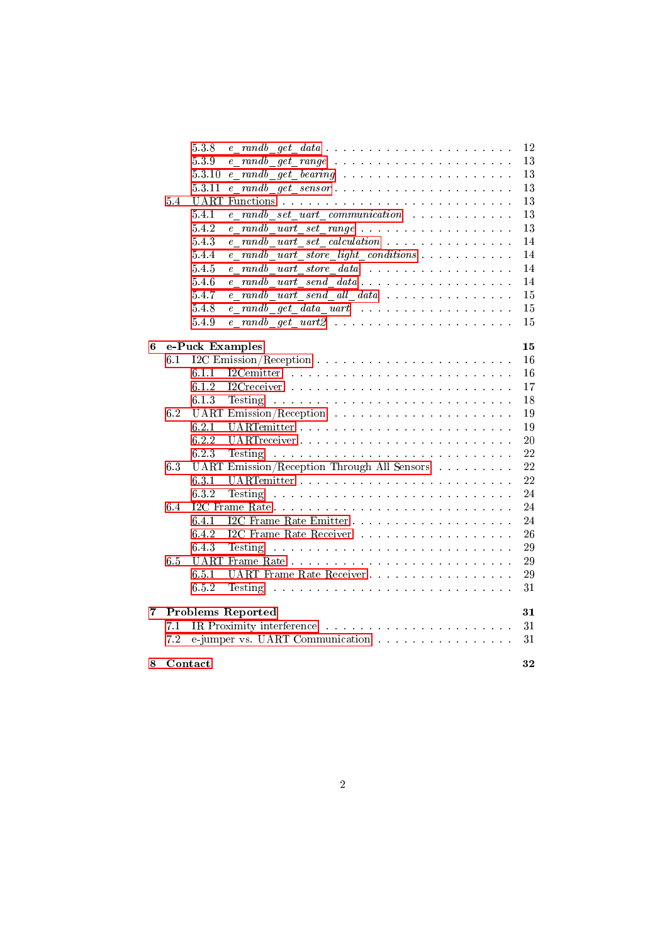|   |         | 538       | e randb get data                                                                                                                       | 12 |
|---|---------|-----------|----------------------------------------------------------------------------------------------------------------------------------------|----|
|   |         | 5.3.9     |                                                                                                                                        | 13 |
|   |         | 5.3.10    |                                                                                                                                        | 13 |
|   |         | 5.3.11    |                                                                                                                                        | 13 |
|   | 5.4     |           |                                                                                                                                        | 13 |
|   |         | 5.4.1     | e randb set uart communication                                                                                                         | 13 |
|   |         | 5.42      |                                                                                                                                        | 13 |
|   |         | 5.43      |                                                                                                                                        | 14 |
|   |         | 5.4.4     | e randb uart store light conditions                                                                                                    | 14 |
|   |         | $5\;4\;5$ | e randb uart store data                                                                                                                | 14 |
|   |         | 5.4.6     | $e$ randb uart send data                                                                                                               | 14 |
|   |         | 5.4.7     | e randb uart send all data                                                                                                             | 15 |
|   |         | 5.4.8     | e randb get data uart                                                                                                                  | 15 |
|   |         | 5.4.9     |                                                                                                                                        | 15 |
| 6 |         |           | e-Puck Examples                                                                                                                        | 15 |
|   | 6.1     |           |                                                                                                                                        | 16 |
|   |         | 6.1.1     |                                                                                                                                        | 16 |
|   |         | 6.1.2     |                                                                                                                                        | 17 |
|   |         | 6.1.3     | Testing<br>the contract of the contract of the contract of the contract of the contract of the contract of the contract of             | 18 |
|   | 6.2     |           |                                                                                                                                        | 19 |
|   |         | 6.2.1     |                                                                                                                                        | 19 |
|   |         | 6.2.2     |                                                                                                                                        | 20 |
|   |         | 6.2.3     | Testing<br>the contract of the contract of the contract of the contract of the contract of the contract of the contract of             | 22 |
|   | 6.3     |           | UART Emission/Reception Through All Sensors                                                                                            | 22 |
|   |         | 631       |                                                                                                                                        | 22 |
|   |         | 6.3.2     | <b>Testing</b><br>.<br>The contract of the contract of the contract of the contract of the contract of the contract of the contract of | 24 |
|   | 6.4     |           |                                                                                                                                        | 24 |
|   |         | 6.4.1     |                                                                                                                                        | 24 |
|   |         | 6.4.2     | I2C Frame Rate Receiver                                                                                                                | 26 |
|   |         | 6.43      | Testing<br>والمتعاط والمتعارف والمتعاونة والمتعارف والمتعارف والمتعارف والمتعارف والمتعارف والمتعارف والمتعارف                         | 29 |
|   | 6.5     |           |                                                                                                                                        | 29 |
|   |         | 6.5.1     | UART Frame Rate Receiver                                                                                                               | 29 |
|   |         | 6.5.2     | Testing                                                                                                                                | 31 |
| 7 |         |           | <b>Problems Reported</b>                                                                                                               | 31 |
|   | 7.1     |           |                                                                                                                                        | 31 |
|   | 7.2     |           | e-jumper vs. UART Communication                                                                                                        | 31 |
| 8 | Contact |           |                                                                                                                                        | 32 |
|   |         |           |                                                                                                                                        |    |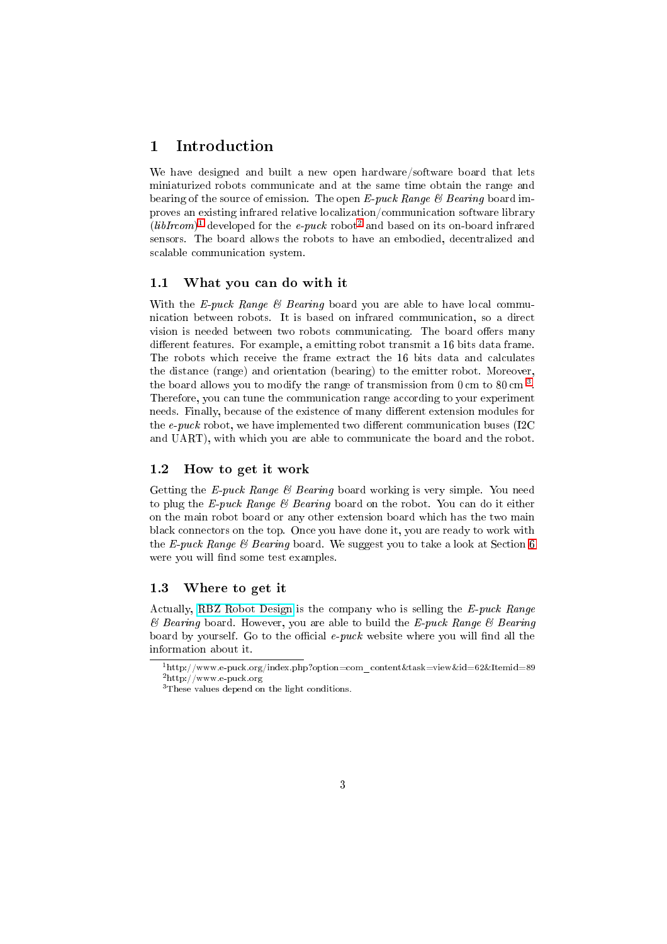## 1 Introduction

<span id="page-2-0"></span>We have designed and built a new open hardware/software board that lets miniaturized robots communicate and at the same time obtain the range and bearing of the source of emission. The open E-puck Range  $\mathcal C$  Bearing board improves an existing infrared relative localization/communication software library  $(libIrcom)^{1}$  developed for the e-puck robot<sup>2</sup> and based on its on-board infrared sensors. The board allows the robots to have an embodied, decentralized and scalable communication system.

#### 1.1 [Wh](#page-2-4)at you can do with it

<span id="page-2-1"></span>With the E-puck Range  $\mathcal B$  Bearing board you are able to have local communication between robots. It is based on infrared communication, so a direct vision is needed between two robots communicating. The board offers many different features. For example, a emitting robot transmit a 16 bits data frame. The robots which receive the frame extract the 16 bits data and calculates the distance (range) and orientation (bearing) to the emitter robot. Moreover, the board allows you to modify the range of transmission from  $0\,\mathrm{cm}$  to  $80\,\mathrm{cm}^{-3}$ . Therefore, you can tune the communication range according to your experiment needs. Finally, because of the existence of many different extension modules for the  $e$ -puck robot, we have implemented two different communication buses (I2C) and UART), with which you are able to communicate the board and the rob[ot.](#page-2-5)

## 1.2 How to get it work

<span id="page-2-2"></span>Getting the E-puck Range  $\mathcal B$  Bearing board working is very simple. You need to plug the E-puck Range & Bearing board on the robot. You can do it either on the main robot board or any other extension board which has the two main black connectors on the top. Once you have done it, you are ready to work with the E-puck Range  $\mathcal B$  Bearing board. We suggest you to take a look at Section 6 were you will find some test examples.

#### 1.3 Where to get it

<span id="page-2-3"></span>Actually, RBZ Robot Design is the company who is selling the E-puck Ran[ge](#page-14-3)  $\mathscr B$  Bearing board. However, you are able to build the E-puck Range  $\mathscr B$  Bearing board by yourself. Go to the official  $e$ -puck website where you will find all the information about it.

 $^{1}\mathrm{http://www.e-puck.org/index.php?option=com\_content\&task=view\&id=62\&It\emph{emid}=89}$  $^{1}\mathrm{http://www.e-puck.org/index.php?option=com\_content\&task=view\&id=62\&It\emph{emid}=89}$  $^{1}\mathrm{http://www.e-puck.org/index.php?option=com\_content\&task=view\&id=62\&It\emph{emid}=89}$ 2http://www.e-puck.org

<span id="page-2-5"></span><span id="page-2-4"></span><sup>3</sup>These values depend on the light conditions.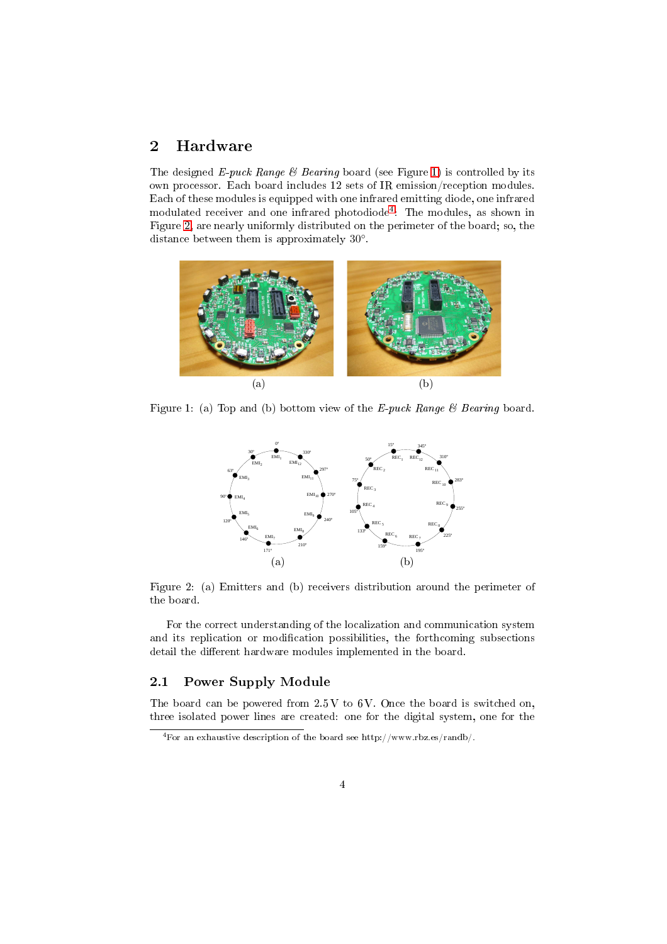## 2 Hardware

<span id="page-3-0"></span>The designed E-puck Range  $\mathcal B$  Bearing board (see Figure 1) is controlled by its own processor. Each board includes 12 sets of IR emission/reception modules. Each of these modules is equipped with one infrared emitting diode, one infrared modulated receiver and one infrared photodiode<sup>4</sup> : The modules, as shown in Figure 2, are nearly uniformly distributed on the perimet[er o](#page-3-2)f the board; so, the distance between them is approximately 30◦ .



Figure 1: (a) Top and (b) bottom view of the E-puck Range  $\mathcal B$  Bearing board.

<span id="page-3-2"></span>

Figure 2: (a) Emitters and (b) receivers distribution around the perimeter of the board.

For the correct understanding of the localization and communication system and its replication or modification possibilities, the forthcoming subsections detail the different hardware modules implemented in the board.

## 2.1 Power Supply Module

The board can be powered from  $2.5 V$  to  $6 V$ . Once the board is switched on, three isolated power lines are created: one for the digital system, one for the

<span id="page-3-1"></span><sup>4</sup>For an exhaustive description of the board see http://www.rbz.es/randb/.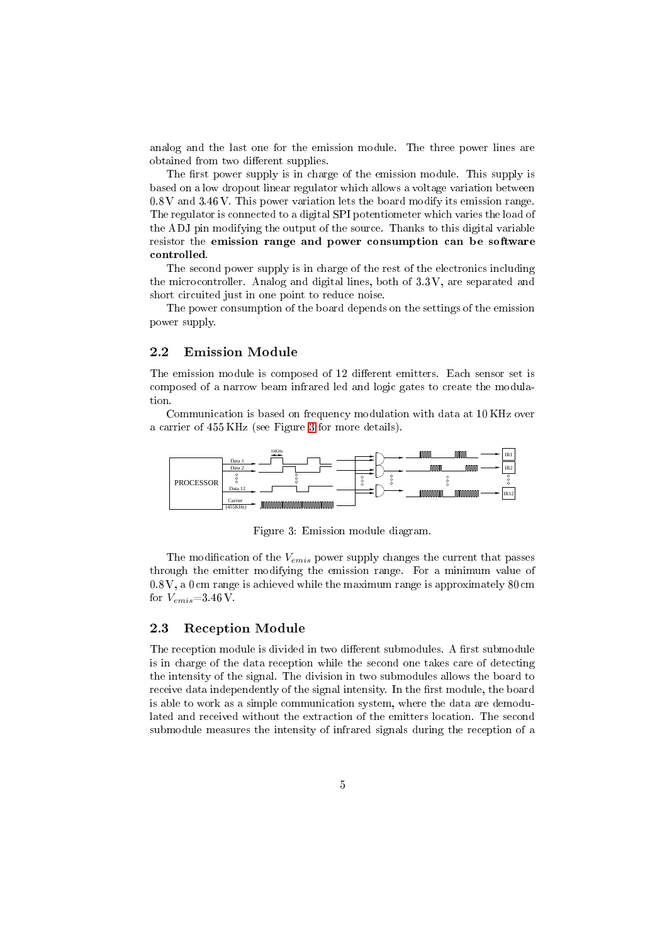analog and the last one for the emission module. The three power lines are obtained from two different supplies.

The first power supply is in charge of the emission module. This supply is based on a low dropout linear regulator which allows a voltage variation between 0.8 V and 3.46 V. This power variation lets the board modify its emission range. The regulator is connected to a digital SPI potentiometer which varies the load of the ADJ pin modifying the output of the source. Thanks to this digital variable resistor the emission range and power consumption can be software controlled.

The second power supply is in charge of the rest of the electronics including the microcontroller. Analog and digital lines, both of 3.3 V, are separated and short circuited just in one point to reduce noise.

The power consumption of the board depends on the settings of the emission power supply.

#### 2.2 Emission Module

The emission module is composed of 12 different emitters. Each sensor set is composed of a narrow beam infrared led and logic gates to create the modulation.

<span id="page-4-0"></span>Communication is based on frequency modulation with data at 10 KHz over a carrier of 455 KHz (see Figure 3 for more details).



Figure 3: Emission module diagram.

The modification of the  $V_{emis}$  power supply changes the current that passes through the emitter modifying the emission range. For a minimum value of 0.8 V, a 0 cm range is achieved while the maximum range is approximately 80 cm for  $V_{emis}$  =3.46 V.

#### 2.3 Reception Module

<span id="page-4-1"></span>The reception module is divided in two different submodules. A first submodule is in charge of the data reception while the second one takes care of detecting the intensity of the signal. The division in two submodules allows the board to receive data independently of the signal intensity. In the first module, the board is able to work as a simple communication system, where the data are demodulated and received without the extraction of the emitters location. The second submodule measures the intensity of infrared signals during the reception of a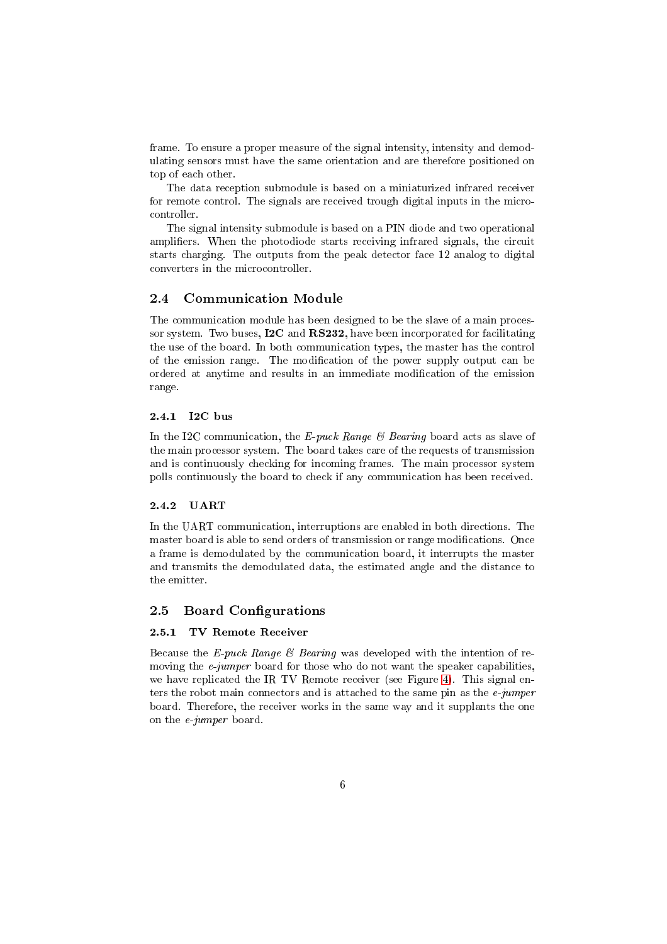frame. To ensure a proper measure of the signal intensity, intensity and demodulating sensors must have the same orientation and are therefore positioned on top of each other.

The data reception submodule is based on a miniaturized infrared receiver for remote control. The signals are received trough digital inputs in the microcontroller.

The signal intensity submodule is based on a PIN diode and two operational amplifiers. When the photodiode starts receiving infrared signals, the circuit starts charging. The outputs from the peak detector face 12 analog to digital converters in the microcontroller.

#### 2.4 Communication Module

<span id="page-5-0"></span>The communication module has been designed to be the slave of a main processor system. Two buses, I2C and RS232, have been incorporated for facilitating the use of the board. In both communication types, the master has the control of the emission range. The modification of the power supply output can be ordered at anytime and results in an immediate modification of the emission range.

#### 2.4.1 I2C bus

<span id="page-5-1"></span>In the I2C communication, the E-puck Range  $\mathcal B$  Bearing board acts as slave of the main processor system. The board takes care of the requests of transmission and is continuously checking for incoming frames. The main processor system polls continuously the board to check if any communication has been received.

#### 2.4.2 UART

<span id="page-5-2"></span>In the UART communication, interruptions are enabled in both directions. The master board is able to send orders of transmission or range modifications. Once a frame is demodulated by the communication board, it interrupts the master and transmits the demodulated data, the estimated angle and the distance to the emitter.

#### 2.5 Board Configurations

#### 2.5.1 TV Remote Receiver

<span id="page-5-4"></span><span id="page-5-3"></span>Because the E-puck Range  $\mathcal B$  Bearing was developed with the intention of removing the *e-jumper* board for those who do not want the speaker capabilities, we have replicated the IR TV Remote receiver (see Figure 4). This signal enters the robot main connectors and is attached to the same pin as the  $e$ -jumper board. Therefore, the receiver works in the same way and it supplants the one on the e-jumper board.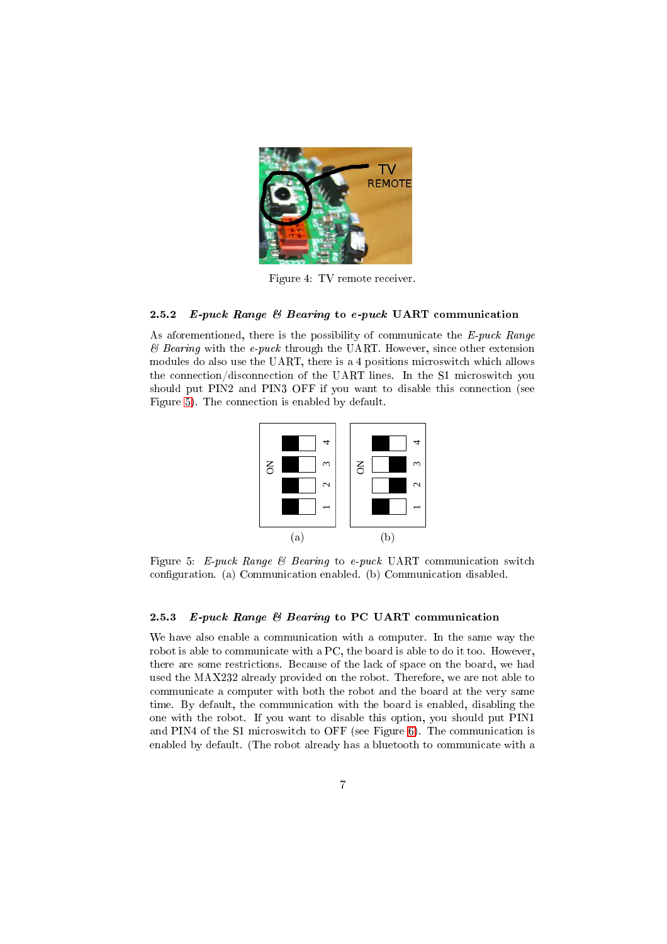

Figure 4: TV remote receiver.

#### 2.5.2 E-puck Range  $\mathcal B$  Bearing to e-puck UART communication

<span id="page-6-0"></span>As aforementioned, there is the possibility of communicate the  $E$ -puck Range  $\mathscr B$  Bearing with the e-puck through the UART. However, since other extension modules do also use the UART, there is a 4 positions microswitch which allows the connection/disconnection of the UART lines. In the S1 microswitch you should put PIN2 and PIN3 OFF if you want to disable this connection (see Figure 5). The connection is enabled by default.



Figure 5: E-puck Range & Bearing to e-puck UART communication switch configuration. (a) Communication enabled. (b) Communication disabled.

#### 2.5.3 E-puck Range & Bearing to PC UART communication

<span id="page-6-1"></span>We have also enable a communication with a computer. In the same way the robot is able to communicate with a PC, the board is able to do it too. However, there are some restrictions. Because of the lack of space on the board, we had used the MAX232 already provided on the robot. Therefore, we are not able to communicate a computer with both the robot and the board at the very same time. By default, the communication with the board is enabled, disabling the one with the robot. If you want to disable this option, you should put PIN1 and PIN4 of the S1 microswitch to OFF (see Figure 6). The communication is enabled by default. (The robot already has a bluetooth to communicate with a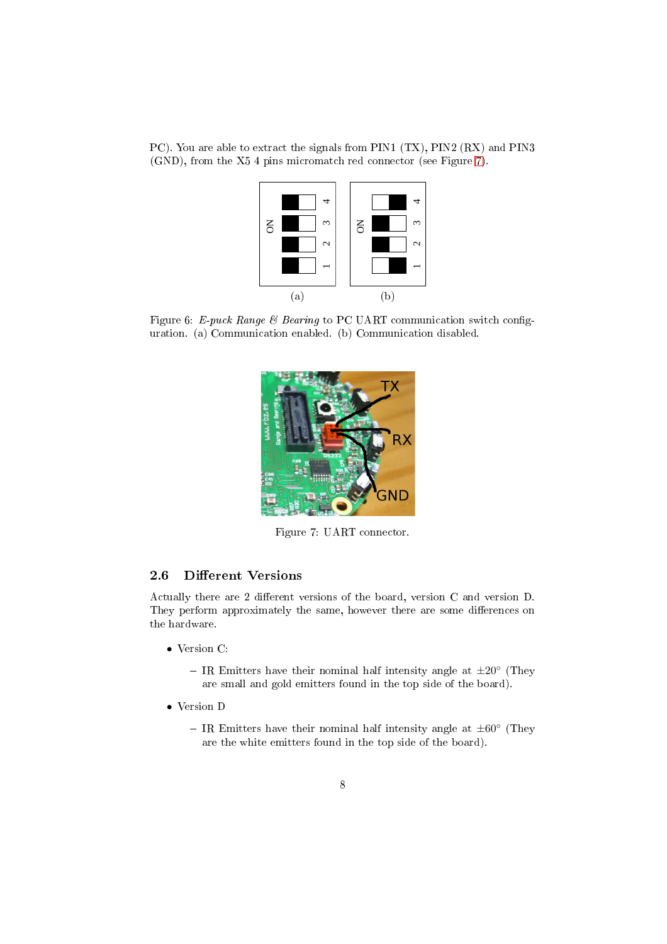PC). You are able to extract the signals from PIN1 (TX), PIN2 (RX) and PIN3 (GND), from the X5 4 pins micromatch red connector (see Figure 7).



Figure 6: E-puck Range & Bearing to PC UART communication switch configuration. (a) Communication enabled. (b) Communication disabled.



Figure 7: UART connector.

## 2.6 Different Versions

Actually there are 2 different versions of the board, version C and version D. They perform approximately the same, however there are some differences on the hardware.

- <span id="page-7-0"></span>• Version C:
	- IR Emitters have their nominal half intensity angle at  $\pm 20^{\circ}$  (They are small and gold emitters found in the top side of the board).
- Version D
	- IR Emitters have their nominal half intensity angle at  $\pm 60^{\circ}$  (They are the white emitters found in the top side of the board).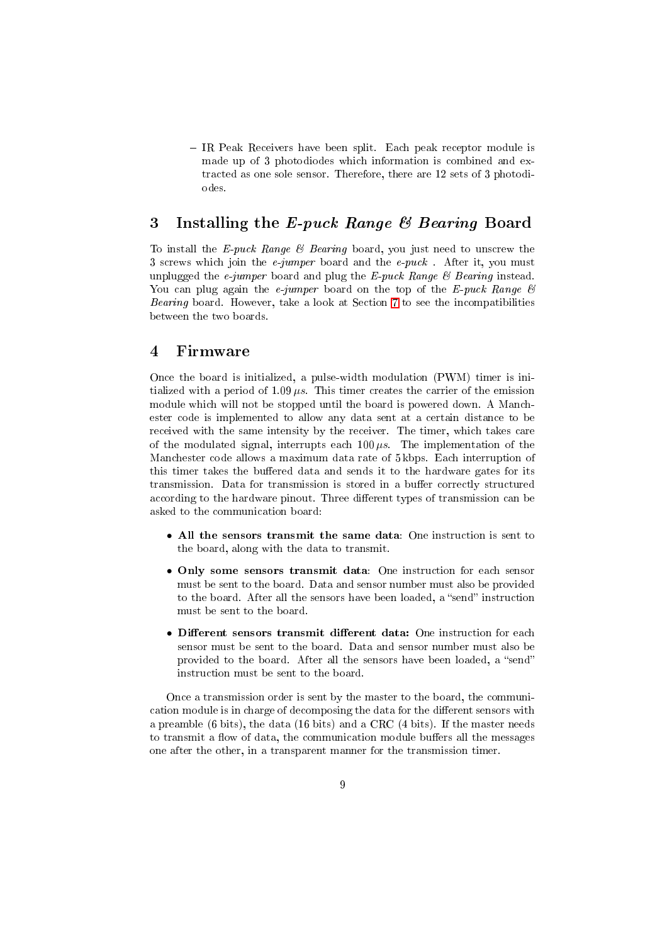- IR Peak Receivers have been split. Each peak receptor module is made up of 3 photodiodes which information is combined and extracted as one sole sensor. Therefore, there are 12 sets of 3 photodiodes.

## 3 Installing the E-puck Range & Bearing Board

<span id="page-8-0"></span>To install the E-puck Range  $\mathcal B$  Bearing board, you just need to unscrew the 3 screws which join the *e-jumper* board and the *e-puck*. After it, you must unplugged the *e-jumper* board and plug the  $E$ -puck Range  $\mathcal B$  Bearing instead. You can plug again the *e-jumper* board on the top of the E-puck Range  $\mathcal{C}$ Bearing board. However, take a look at Section 7 to see the incompatibilities between the two boards.

## 4 Firmware

<span id="page-8-1"></span>Once the board is initialized, a pulse-width modulation (PWM) timer is initialized with a period of  $1.09 \mu s$ . This timer creates the carrier of the emission module which will not be stopped until the board is powered down. A Manchester code is implemented to allow any data sent at a certain distance to be received with the same intensity by the receiver. The timer, which takes care of the modulated signal, interrupts each  $100 \mu s$ . The implementation of the Manchester code allows a maximum data rate of 5 kbps. Each interruption of this timer takes the buffered data and sends it to the hardware gates for its transmission. Data for transmission is stored in a buffer correctly structured according to the hardware pinout. Three different types of transmission can be asked to the communication board:

- All the sensors transmit the same data: One instruction is sent to the board, along with the data to transmit.
- Only some sensors transmit data: One instruction for each sensor must be sent to the board. Data and sensor number must also be provided to the board. After all the sensors have been loaded, a "send" instruction must be sent to the board.
- Different sensors transmit different data: One instruction for each sensor must be sent to the board. Data and sensor number must also be provided to the board. After all the sensors have been loaded, a "send" instruction must be sent to the board.

Once a transmission order is sent by the master to the board, the communication module is in charge of decomposing the data for the different sensors with a preamble (6 bits), the data (16 bits) and a CRC (4 bits). If the master needs to transmit a flow of data, the communication module buffers all the messages one after the other, in a transparent manner for the transmission timer.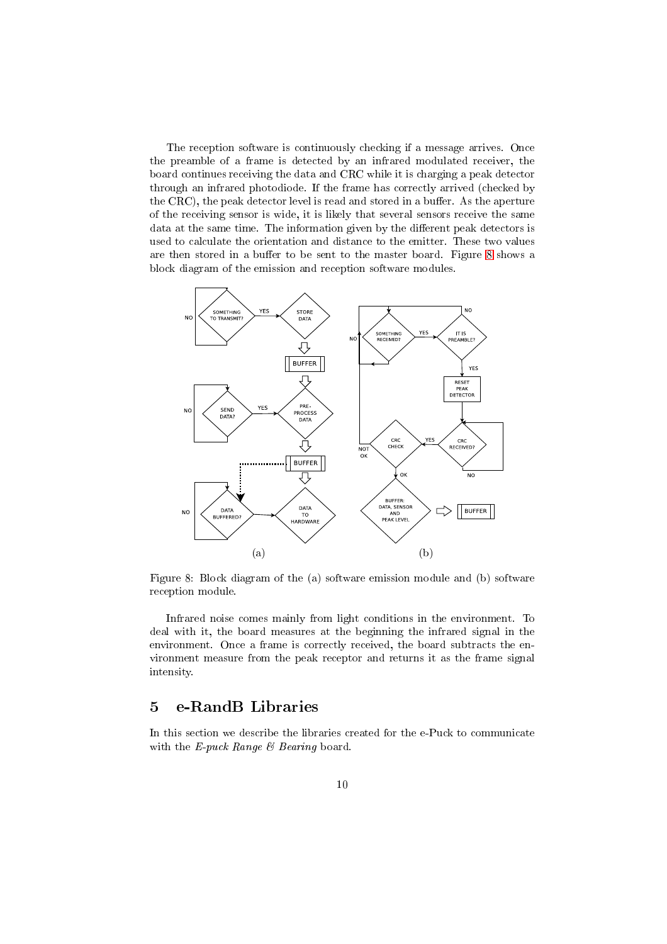The reception software is continuously checking if a message arrives. Once the preamble of a frame is detected by an infrared modulated receiver, the board continues receiving the data and CRC while it is charging a peak detector through an infrared photodiode. If the frame has correctly arrived (checked by the CRC), the peak detector level is read and stored in a buffer. As the aperture of the receiving sensor is wide, it is likely that several sensors receive the same data at the same time. The information given by the different peak detectors is used to calculate the orientation and distance to the emitter. These two values are then stored in a buffer to be sent to the master board. Figure 8 shows a block diagram of the emission and reception software modules.



Figure 8: Block diagram of the (a) software emission module and (b) software reception module.

Infrared noise comes mainly from light conditions in the environment. To deal with it, the board measures at the beginning the infrared signal in the environment. Once a frame is correctly received, the board subtracts the environment measure from the peak receptor and returns it as the frame signal intensity.

## 5 e-RandB Libraries

<span id="page-9-0"></span>In this section we describe the libraries created for the e-Puck to communicate with the E-puck Range  $\mathcal C$  Bearing board.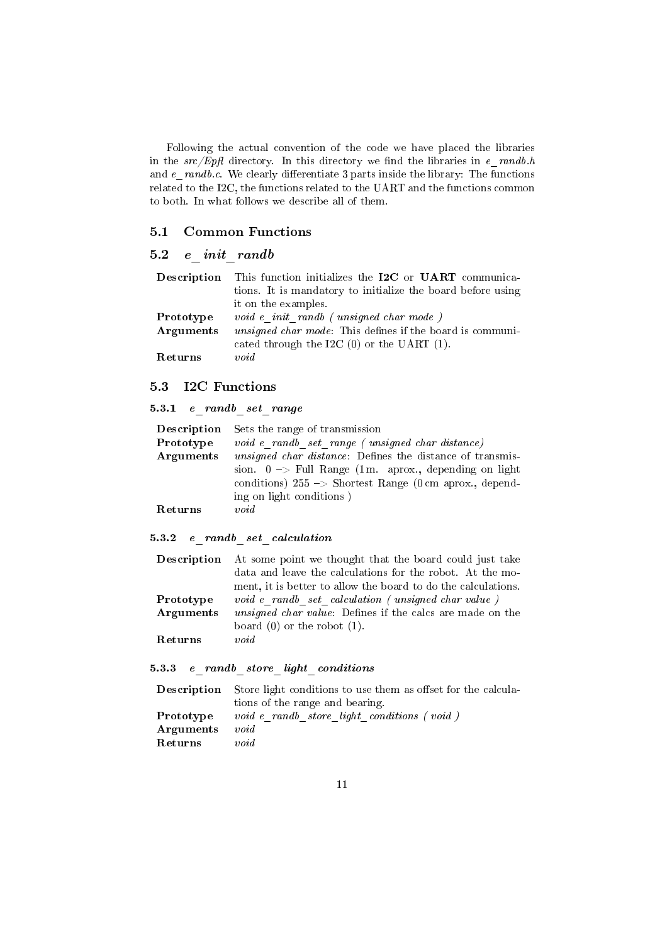Following the actual convention of the code we have placed the libraries in the  $src/Epft$  directory. In this directory we find the libraries in  $e\_randb.h$ and  $e\_randb.c.$  We clearly differentiate 3 parts inside the library: The functions related to the I2C, the functions related to the UART and the functions common to both. In what follows we describe all of them.

## <span id="page-10-0"></span>5.1 Common Functions

## <span id="page-10-1"></span>5.2 e\_init\_randb

|           | Description This function initializes the I2C or UART communica-  |
|-----------|-------------------------------------------------------------------|
|           | tions. It is mandatory to initialize the board before using       |
|           | it on the examples.                                               |
| Prototype | void e init randb (unsigned char mode)                            |
| Arguments | <i>unsigned char mode</i> : This defines if the board is communi- |
|           | cated through the I2C $(0)$ or the UART $(1)$ .                   |
| Returns   | void                                                              |

## <span id="page-10-2"></span>5.3 I2C Functions

## <span id="page-10-3"></span>5.3.1  $e\_randb\_set\_range$

| Description | Sets the range of transmission                                     |
|-------------|--------------------------------------------------------------------|
| Prototype   | void e randb set range (unsigned char distance)                    |
| Arguments   | <i>unsigned char distance</i> : Defines the distance of transmis-  |
|             | sion. $0 \rightarrow$ Full Range (1 m. aprox., depending on light  |
|             | conditions) $255 \rightarrow$ Shortest Range (0 cm aprox., depend- |
|             | ing on light conditions)                                           |
| Returns     | void                                                               |

## <span id="page-10-4"></span>5.3.2 e\_randb\_set\_calculation

|                | <b>Description</b> At some point we thought that the board could just take |
|----------------|----------------------------------------------------------------------------|
|                | data and leave the calculations for the robot. At the mo-                  |
|                | ment, it is better to allow the board to do the calculations.              |
| Prototype      | void e randb set calculation (unsigned char value)                         |
| Arguments      | <i>unsigned char value</i> : Defines if the calcs are made on the          |
|                | board $(0)$ or the robot $(1)$ .                                           |
| <b>Returns</b> | void                                                                       |

#### <span id="page-10-5"></span>5.3.3 e randb store light conditions

|           | <b>Description</b> Store light conditions to use them as offset for the calcula- |
|-----------|----------------------------------------------------------------------------------|
|           | tions of the range and bearing.                                                  |
| Prototype | void e randb store light conditions (void)                                       |
| Arguments | void                                                                             |
| Returns   | void                                                                             |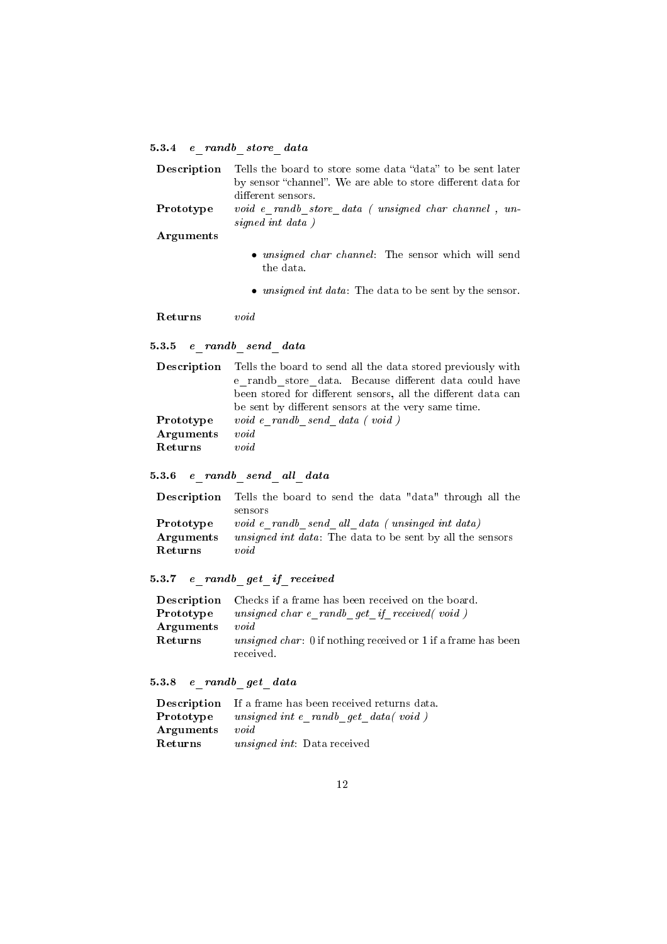## 5.3.4 e\_randb\_store\_data

| Description | Tells the board to store some data "data" to be sent later<br>by sensor "channel". We are able to store different data for<br>different sensors. |
|-------------|--------------------------------------------------------------------------------------------------------------------------------------------------|
| Prototype   | void e randb store data (unsigned char channel, un-<br>signed int data)                                                                          |
| Arguments   |                                                                                                                                                  |
|             | • <i>unsigned char channel</i> : The sensor which will send<br>the data.                                                                         |
|             | • <i>unsigned int data</i> : The data to be sent by the sensor.                                                                                  |

Returns void

## 5.3.5  $e\_randb\_send\_data$

|           | <b>Description</b> Tells the board to send all the data stored previously with |
|-----------|--------------------------------------------------------------------------------|
|           | e randb store data. Because different data could have                          |
|           | been stored for different sensors, all the different data can                  |
|           | be sent by different sensors at the very same time.                            |
| Prototype | void e randb send data (void)                                                  |
| Arguments | void                                                                           |
| Returns   | void                                                                           |
|           |                                                                                |

## <span id="page-11-0"></span> $5.3.6$  e  $randb$  send all data

| <b>Description</b> Tells the board to send the data "data" through all the |
|----------------------------------------------------------------------------|
| sensors                                                                    |
| void e randb send all data (unsinged int data)                             |
| <i>unsigned int data</i> : The data to be sent by all the sensors          |
| void                                                                       |
|                                                                            |

## 5.3.7 e\_randb\_get\_if\_received

|           | <b>Description</b> Checks if a frame has been received on the board.  |
|-----------|-----------------------------------------------------------------------|
| Prototype | unsigned char $e$ randb get if received (void)                        |
| Arguments | void                                                                  |
| Returns   | <i>unsigned char</i> : 0 if nothing received or 1 if a frame has been |
|           | received.                                                             |

## <span id="page-11-1"></span>5.3.8 e\_randb\_get\_data

|           | <b>Description</b> If a frame has been received returns data. |
|-----------|---------------------------------------------------------------|
| Prototype | unsigned int $e$ randb get data(void)                         |
| Arguments | void                                                          |
| Returns   | <i>unsigned int:</i> Data received                            |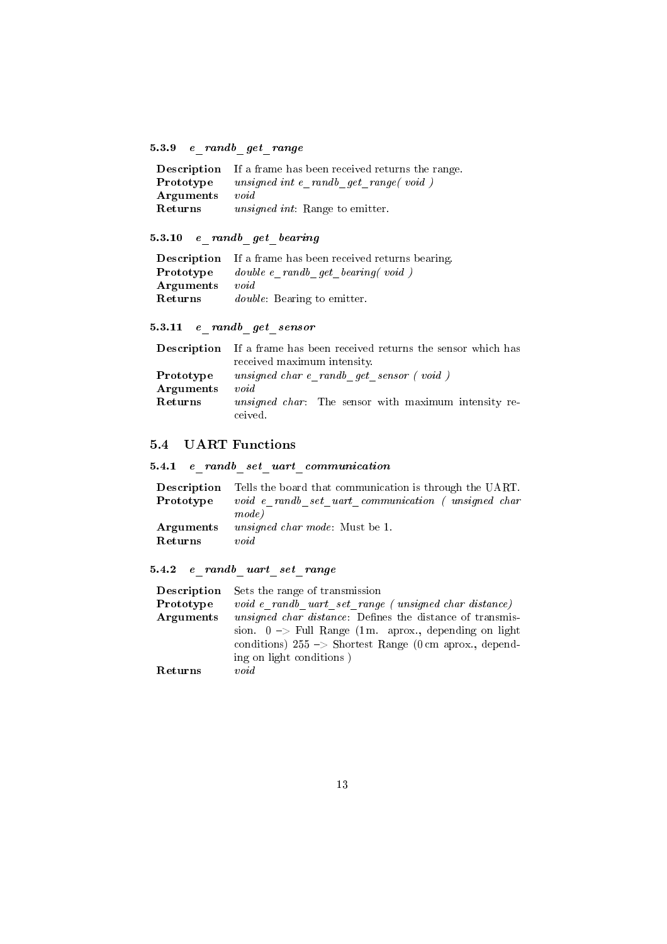## <span id="page-12-0"></span>5.3.9 e\_randb\_get\_range

|           | <b>Description</b> If a frame has been received returns the range. |
|-----------|--------------------------------------------------------------------|
| Prototype | unsigned int $e$ randb get range (void)                            |
| Arguments | void                                                               |
| Returns   | <i>unsigned int</i> : Range to emitter.                            |

## <span id="page-12-1"></span>5.3.10 e randb get bearing

|           | <b>Description</b> If a frame has been received returns bearing. |
|-----------|------------------------------------------------------------------|
| Prototype | double e randb get bearing (void)                                |
| Arguments | void                                                             |
| Returns   | <i>double</i> : Bearing to emitter.                              |

## <span id="page-12-2"></span>5.3.11  $e$ <sup>r</sup>andb<sup>or</sup> get\_sensor

|           | <b>Description</b> If a frame has been received returns the sensor which has |
|-----------|------------------------------------------------------------------------------|
|           | received maximum intensity.                                                  |
| Prototype | unsigned char e randb get sensor (void)                                      |
| Arguments | void                                                                         |
| Returns   | <i>unsigned char:</i> The sensor with maximum intensity re-                  |
|           | ceived.                                                                      |

## <span id="page-12-3"></span>5.4 UART Functions

## <span id="page-12-4"></span>5.4.1 e\_randb\_set\_uart\_communication

|           | <b>Description</b> Tells the board that communication is through the UART. |
|-----------|----------------------------------------------------------------------------|
| Prototype | void e randb set uart communication (unsigned char                         |
|           | mode)                                                                      |
| Arguments | <i>unsigned char mode</i> : Must be 1.                                     |
| Returns   | void                                                                       |

## <span id="page-12-5"></span>5.4.2 e\_randb\_uart\_set\_range

| <b>Description</b> | Sets the range of transmission                                     |
|--------------------|--------------------------------------------------------------------|
| Prototype          | void e randb uart set range (unsigned char distance)               |
| Arguments          | <i>unsigned char distance</i> : Defines the distance of transmis-  |
|                    | sion. $0 \rightarrow$ Full Range (1 m. aprox., depending on light  |
|                    | conditions) $255 \rightarrow$ Shortest Range (0 cm aprox., depend- |
|                    | ing on light conditions)                                           |
| Returns            | void                                                               |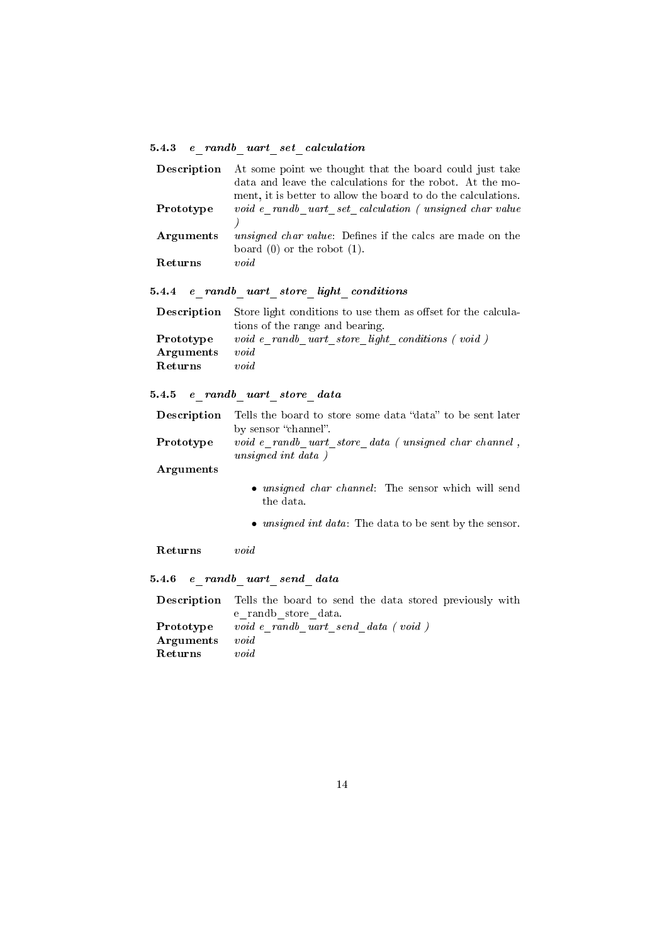## <span id="page-13-0"></span>5.4.3 e\_randb\_uart\_set\_calculation

| Description | At some point we thought that the board could just take           |
|-------------|-------------------------------------------------------------------|
|             | data and leave the calculations for the robot. At the mo-         |
|             | ment, it is better to allow the board to do the calculations.     |
| Prototype   | void e randb uart set calculation (unsigned char value            |
|             |                                                                   |
| Arguments   | <i>unsigned char value</i> : Defines if the calcs are made on the |
|             | board $(0)$ or the robot $(1)$ .                                  |
| Returns     | void                                                              |

## <span id="page-13-1"></span> $5.4.4 \quad e\_randb\_uart\_store\_light\_conditions$

|           | <b>Description</b> Store light conditions to use them as offset for the calcula- |
|-----------|----------------------------------------------------------------------------------|
|           | tions of the range and bearing.                                                  |
| Prototype | void e randb uart store light conditions (void)                                  |
| Arguments | void                                                                             |
| Returns   | void                                                                             |

## <span id="page-13-2"></span>5.4.5 e\_randb\_uart\_store\_data

|           | <b>Description</b> Tells the board to store some data "data" to be sent later     |
|-----------|-----------------------------------------------------------------------------------|
|           | by sensor "channel".                                                              |
| Prototype | <i>void</i> e randb uart store data (unsigned char channel,<br>unsigned int data) |
| Arguments |                                                                                   |

- unsigned char channel: The sensor which will send the data.
- unsigned int data: The data to be sent by the sensor.

Returns void

<span id="page-13-3"></span>5.4.6 e\_randb\_uart\_send\_data

|           | <b>Description</b> Tells the board to send the data stored previously with |
|-----------|----------------------------------------------------------------------------|
|           | e randb store data.                                                        |
| Prototype | voide randb uart send data (void)                                          |
| Arguments | void                                                                       |
| Returns   | void                                                                       |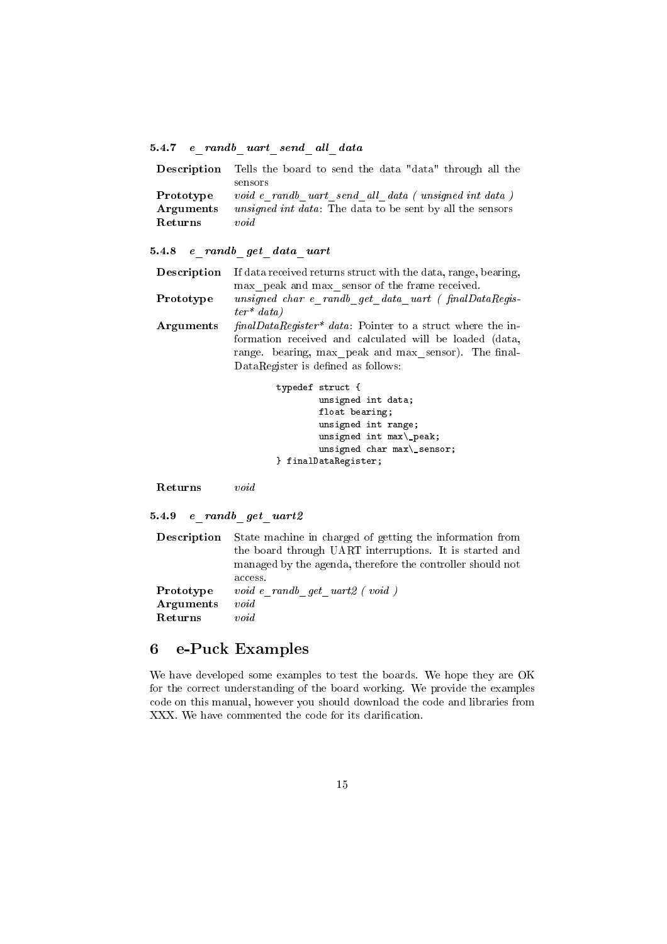## <span id="page-14-0"></span>5.4.7 e\_randb\_uart\_send\_all\_data

|           | <b>Description</b> Tells the board to send the data "data" through all the |
|-----------|----------------------------------------------------------------------------|
|           | sensors                                                                    |
| Prototype | void e randb uart send all data (unsigned int data)                        |
| Arguments | <i>unsigned int data</i> : The data to be sent by all the sensors          |
| Returns   | void                                                                       |

<span id="page-14-1"></span>5.4.8 e\_randb\_get\_data\_uart

| <b>Description</b> | If data received returns struct with the data, range, bearing,                                                            |
|--------------------|---------------------------------------------------------------------------------------------------------------------------|
| Prototype          | max peak and max sensor of the frame received.<br>unsigned char e_randb_get_data_uart (finalDataRegis-<br>$ter^* data)$   |
| Arguments          | $finalDataRequester* data$ : Pointer to a struct where the in-<br>formation received and calculated will be loaded (data, |
|                    | range. bearing, max peak and max sensor). The final-<br>DataRegister is defined as follows:                               |

```
typedef struct {
        unsigned int data;
        float bearing;
        unsigned int range;
        unsigned int max\_peak;
        unsigned char max\_sensor;
} finalDataRegister;
```
Returns void

```
5.4.9 e_randb_get_uart2
```

|           | <b>Description</b> State machine in charged of getting the information from |
|-----------|-----------------------------------------------------------------------------|
|           | the board through UART interruptions. It is started and                     |
|           | managed by the agenda, therefore the controller should not                  |
|           | access.                                                                     |
| Prototype | $void e$ randb get $uart2$ (void)                                           |
| Arguments | void                                                                        |
| Returns   | void                                                                        |

## <span id="page-14-3"></span>6 e-Puck Examples

We have developed some examples to test the boards. We hope they are OK for the correct understanding of the board working. We provide the examples code on this manual, however you should download the code and libraries from XXX. We have commented the code for its clarification.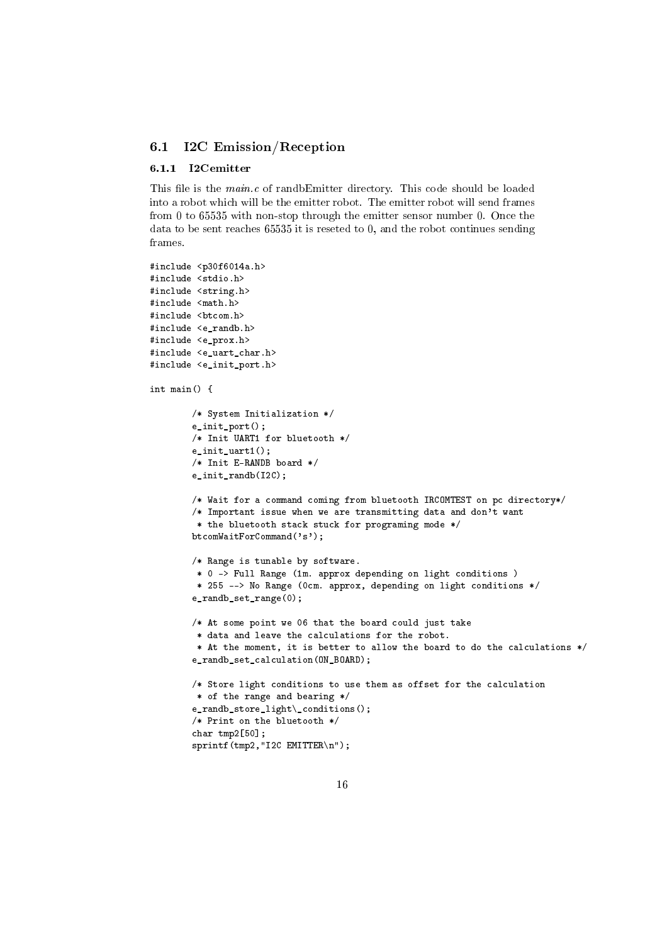### <span id="page-15-0"></span>6.1 I2C Emission/Reception

#### <span id="page-15-1"></span>6.1.1 I2Cemitter

This file is the  $main.c$  of randbEmitter directory. This code should be loaded into a robot which will be the emitter robot. The emitter robot will send frames from 0 to 65535 with non-stop through the emitter sensor number 0. Once the data to be sent reaches 65535 it is reseted to 0, and the robot continues sending frames.

```
#include <p30f6014a.h>
#include <stdio.h>
#include <string.h>
#include <math.h>
#include <br/>btcom.h>
#include <e randb.h>
#include <e_prox.h>
#include <e uart char.h>
#include <e_init_port.h>
int main() {
        /* System Initialization */
        e_init_port();
        /* Init UART1 for bluetooth */
        e init uart1();
        /* Init E-RANDB board */
        e_init_randb(I2C);
        /* Wait for a command coming from bluetooth IRCOMTEST on pc directory*/
        /* Important issue when we are transmitting data and don't want
         * the bluetooth stack stuck for programing mode */
        btcomWaitForCommand('s');
        /* Range is tunable by software.
         * 0 -> Full Range (1m. approx depending on light conditions )
         * 255 --> No Range (0cm. approx, depending on light conditions */
        e_randb_set_range(0);
        /* At some point we 06 that the board could just take
         * data and leave the calculations for the robot.
         * At the moment, it is better to allow the board to do the calculations */
        e_randb_set_calculation(ON_BOARD);
        /* Store light conditions to use them as offset for the calculation
        * of the range and bearing */
        e_randb_store_light\_conditions();
        /* Print on the bluetooth */
        char tmp2[50];
        sprintf(tmp2,"I2C EMITTER\n");
```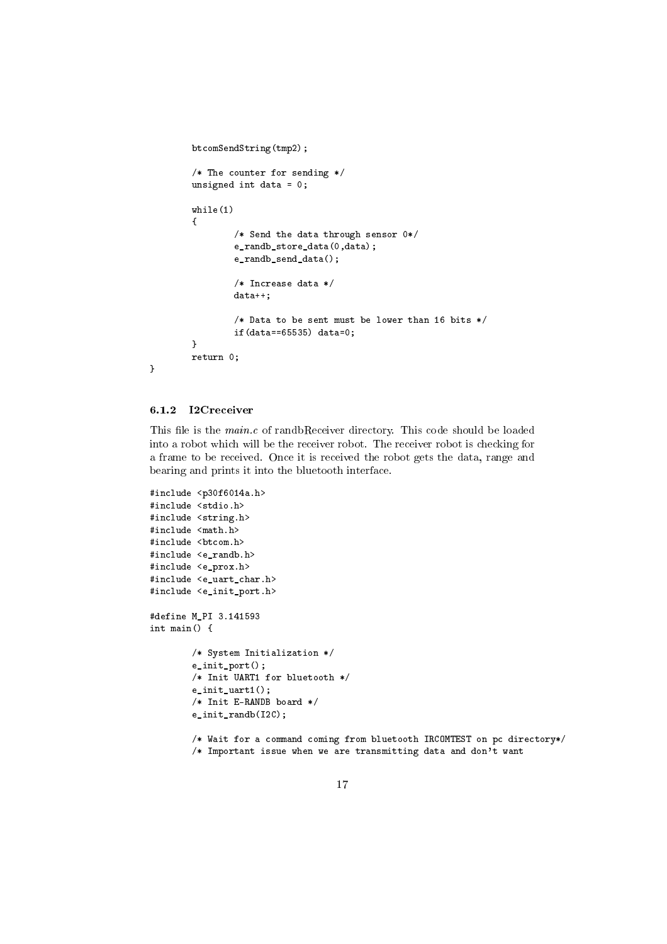```
btcomSendString(tmp2);
        /* The counter for sending */
        unsigned int data = 0;
        while(1)
        {
                /* Send the data through sensor 0*/
                e_randb_store_data(0,data);
                e_randb_send_data();
                /* Increase data */
                data++;
                /* Data to be sent must be lower than 16 bits */
                if(data==65535) data=0;
        }
        return 0;
}
```

```
6.1.2 I2Creceiver
```
This file is the  $main.c$  of randbReceiver directory. This code should be loaded into a robot which will be the receiver robot. The receiver robot is checking for a frame to be received. Once it is received the robot gets the data, range and bearing and prints it into the bluetooth interface.

```
#include <p30f6014a.h>
#include <stdio.h>
#include <string.h>
#include <math.h>
#include <br/> <br/> <br/> <br/> <br/> <br/> <br/> <br/> <br/> <br/> <br/> <br/> <br/> <br/> <br/> <br/> \, <br/>\, <br/>\, <br/>\, <br/>\, <br/>\, <br/>\, <br/>\, <br/>\, <br/>\, <br/>\, <br/>\, <b
#include <e_randb.h>
#include <e_prox.h>
#include <e_uart_char.h>
#include <e_init_port.h>
#define M_PI 3.141593
int main() {
           /* System Initialization */
           e_init_port();
           /* Init UART1 for bluetooth */
           e_init_uart1();
           /* Init E-RANDB board */
           e_init_randb(I2C);
           /* Wait for a command coming from bluetooth IRCOMTEST on pc directory*/
           /* Important issue when we are transmitting data and don't want
```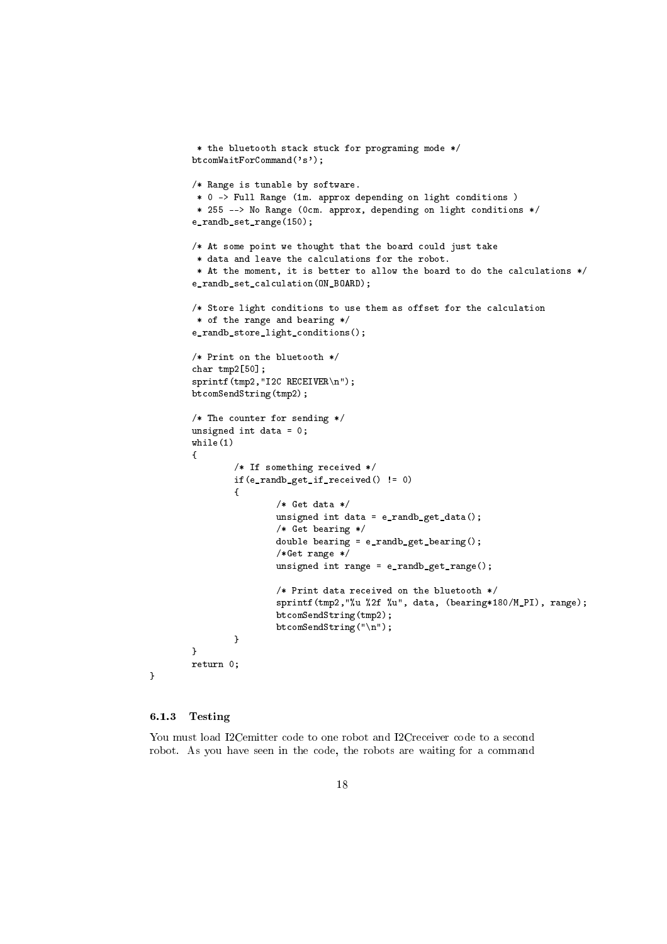```
* the bluetooth stack stuck for programing mode */
btcomWaitForCommand('s');
/* Range is tunable by software.
* 0 -> Full Range (1m. approx depending on light conditions )
* 255 --> No Range (0cm. approx, depending on light conditions */
e_randb_set_range(150);
/* At some point we thought that the board could just take
 * data and leave the calculations for the robot.
 * At the moment, it is better to allow the board to do the calculations */
e_randb_set_calculation(ON_BOARD);
/* Store light conditions to use them as offset for the calculation
 * of the range and bearing */
e_randb_store_light_conditions();
/* Print on the bluetooth */
char tmp2[50];
sprintf(tmp2,"I2C RECEIVER\n");
btcomSendString(tmp2);
/* The counter for sending */
unsigned int data = 0;
while(1)
{
        /* If something received */
        if(e_randb_get_if_received() != 0)
        {
                /* Get data */
                unsigned int data = e_randb_get_data();
                /* Get bearing */
                double bearing = e_randb_get_bearing();
                /*Get range */
                unsigned int range = e_randb_get_range();
                /* Print data received on the bluetooth */
                sprintf(tmp2,"%u %2f %u", data, (bearing*180/M_PI), range);
                btcomSendString(tmp2);
                btcomSendString("\n");
        }
}
return 0;
```
#### <span id="page-17-0"></span>6.1.3 Testing

}

You must load I2Cemitter code to one robot and I2Creceiver code to a second robot. As you have seen in the code, the robots are waiting for a command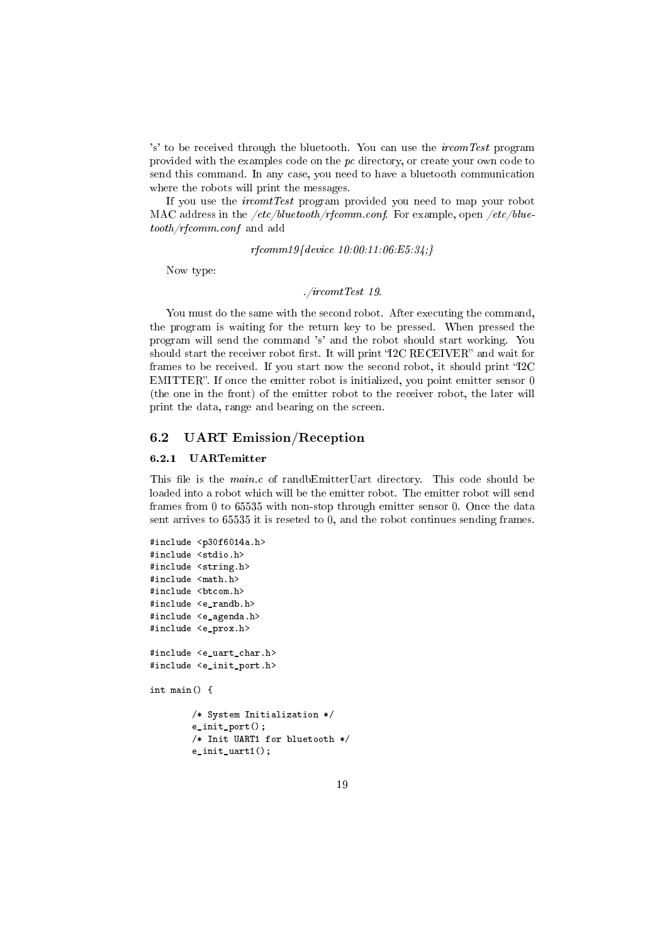's' to be received through the bluetooth. You can use the  $i$ rcomTest program provided with the examples code on the pc directory, or create your own code to send this command. In any case, you need to have a bluetooth communication where the robots will print the messages.

If you use the ircomtTest program provided you need to map your robot MAC address in the  $/etc/blue tooth/rfcomm.comf$ . For example, open  $/etc/blue$ tooth/rfcomm.conf and add

rfcomm19{device 10:00:11:06:E5:34;}

Now type:

#### ./ircomtTest 19.

You must do the same with the second robot. After executing the command, the program is waiting for the return key to be pressed. When pressed the program will send the command 's' and the robot should start working. You should start the receiver robot first. It will print "I2C RECEIVER" and wait for frames to be received. If you start now the second robot, it should print "I2C EMITTER". If once the emitter robot is initialized, you point emitter sensor 0 (the one in the front) of the emitter robot to the receiver robot, the later will print the data, range and bearing on the screen.

## <span id="page-18-0"></span>6.2 UART Emission/Reception

#### <span id="page-18-1"></span>6.2.1 UARTemitter

This file is the  $main.c$  of randbEmitterUart directory. This code should be loaded into a robot which will be the emitter robot. The emitter robot will send frames from 0 to 65535 with non-stop through emitter sensor 0. Once the data sent arrives to 65535 it is reseted to 0, and the robot continues sending frames.

```
#include <p30f6014a.h>
#include <stdio.h>
#include <string.h>
#include <math.h>
#include <br/>btcom.h>
#include <e_randb.h>
#include <e_agenda.h>
#include <e_prox.h>
#include <e_uart_char.h>
#include <e_init_port.h>
int main() {
        /* System Initialization */
        e_init_port();
        /* Init UART1 for bluetooth */
        e_init_uart1();
```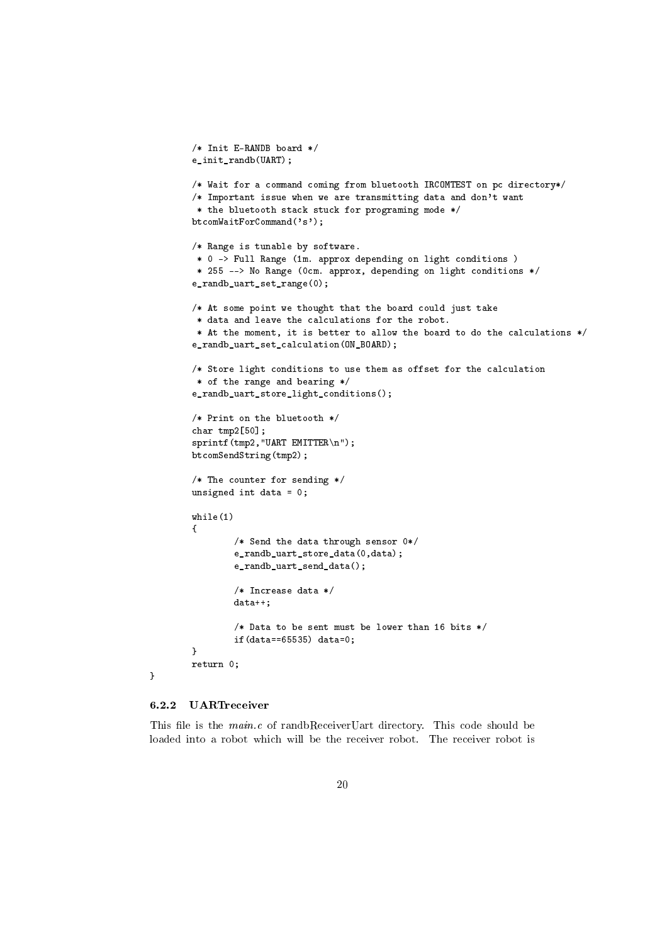```
/* Init E-RANDB board */
e_init_randb(UART);
/* Wait for a command coming from bluetooth IRCOMTEST on pc directory*/
/* Important issue when we are transmitting data and don't want
* the bluetooth stack stuck for programing mode */
btcomWaitForCommand('s');
/* Range is tunable by software.
* 0 -> Full Range (1m. approx depending on light conditions )
 * 255 --> No Range (0cm. approx, depending on light conditions */
e_randb_uart_set_range(0);
/* At some point we thought that the board could just take
 * data and leave the calculations for the robot.
 * At the moment, it is better to allow the board to do the calculations */
e_randb_uart_set_calculation(ON_BOARD);
/* Store light conditions to use them as offset for the calculation
* of the range and bearing */
e_randb_uart_store_light_conditions();
/* Print on the bluetooth */
char tmp2[50];
sprintf(tmp2,"UART EMITTER\n");
btcomSendString(tmp2);
/* The counter for sending */
unsigned int data = 0;
while(1)
{
        /* Send the data through sensor 0*/
        e_randb_uart_store_data(0,data);
        e_randb_uart_send_data();
        /* Increase data */
        data++;
        /* Data to be sent must be lower than 16 bits */
        if(data==65535) data=0;
}
return 0;
```
}

#### <span id="page-19-0"></span>6.2.2 UARTreceiver

This file is the  $main.c$  of randbReceiverUart directory. This code should be loaded into a robot which will be the receiver robot. The receiver robot is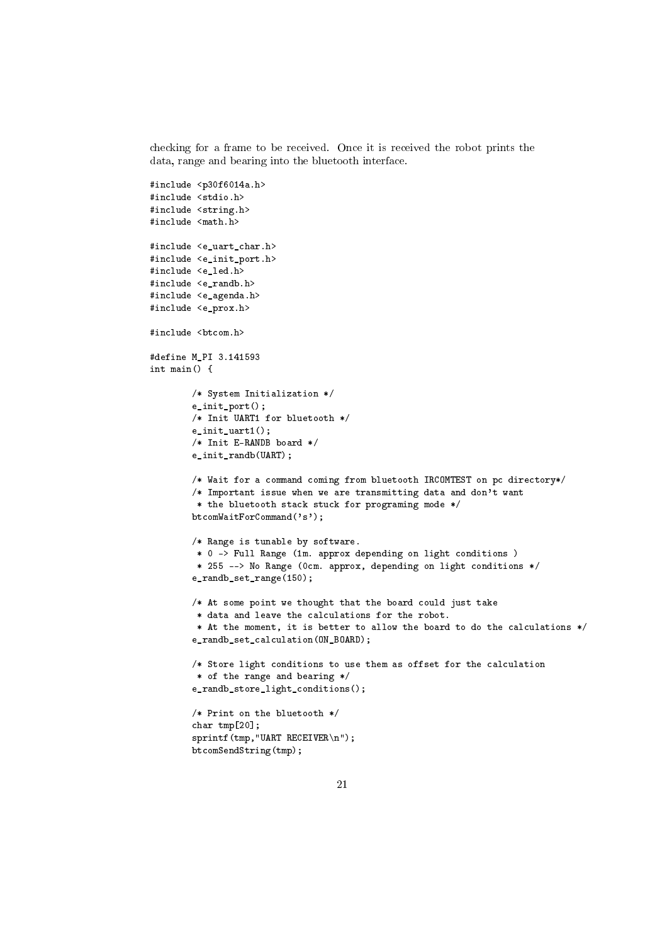checking for a frame to be received. Once it is received the robot prints the data, range and bearing into the bluetooth interface.

```
#include <p30f6014a.h>
#include <stdio.h>
#include <string.h>
#include <math.h>
#include <e_uart_char.h>
#include <e_init_port.h>
#include <e led.h>
#include <e_randb.h>
#include <e_agenda.h>
#include <e_prox.h>
#include <btcom.h>
#define M_PI 3.141593
int main() {
        /* System Initialization */
        e_init_port();
        /* Init UART1 for bluetooth */
        e_init_uart1();
        /* Init E-RANDB board */
        e_init_randb(UART);
        /* Wait for a command coming from bluetooth IRCOMTEST on pc directory*/
        /* Important issue when we are transmitting data and don't want
        * the bluetooth stack stuck for programing mode */
        btcomWaitForCommand('s');
        /* Range is tunable by software.
         * 0 -> Full Range (1m. approx depending on light conditions )
         * 255 --> No Range (0cm. approx, depending on light conditions */
        e_randb_set_range(150);
        /* At some point we thought that the board could just take
         * data and leave the calculations for the robot.
         * At the moment, it is better to allow the board to do the calculations */
        e_randb_set_calculation(ON_BOARD);
        /* Store light conditions to use them as offset for the calculation
         * of the range and bearing */
        e_randb_store_light_conditions();
        /* Print on the bluetooth */
        char tmp[20];
        sprintf(tmp,"UART RECEIVER\n");
        btcomSendString(tmp);
```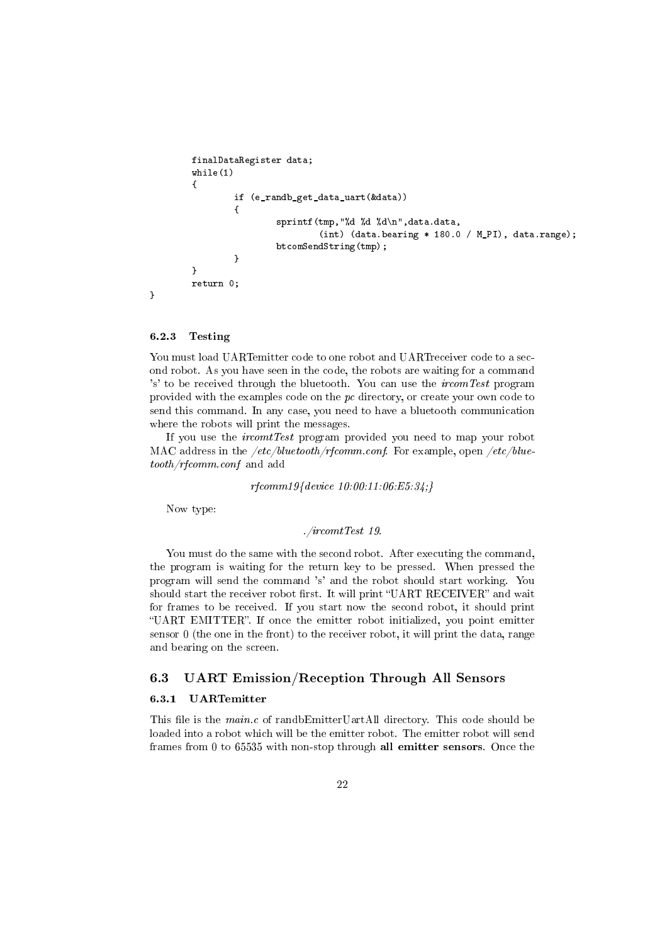```
finalDataRegister data;
        while(1)
        {
                if (e_randb_get_data_uart(&data))
                {
                        sprintf(tmp,"%d %d %d\n",data.data,
                                 (int) (data.bearing * 180.0 / M_PI), data.range);
                        btcomSendString(tmp);
                }
        }
        return 0;
}
```
#### <span id="page-21-0"></span>6.2.3 Testing

You must load UARTemitter code to one robot and UARTreceiver code to a second robot. As you have seen in the code, the robots are waiting for a command 's' to be received through the bluetooth. You can use the *ircomTest* program provided with the examples code on the pc directory, or create your own code to send this command. In any case, you need to have a bluetooth communication where the robots will print the messages.

If you use the ircomtTest program provided you need to map your robot MAC address in the  $/etc/blue tooth/rfcomm.comf$ . For example, open  $/etc/blue$ tooth/rfcomm.conf and add

rfcomm19{device 10:00:11:06:E5:34;}

Now type:

./ircomtTest 19.

You must do the same with the second robot. After executing the command, the program is waiting for the return key to be pressed. When pressed the program will send the command 's' and the robot should start working. You should start the receiver robot first. It will print "UART RECEIVER" and wait for frames to be received. If you start now the second robot, it should print "UART EMITTER". If once the emitter robot initialized, you point emitter sensor 0 (the one in the front) to the receiver robot, it will print the data, range and bearing on the screen.

## <span id="page-21-1"></span>6.3 UART Emission/Reception Through All Sensors

#### <span id="page-21-2"></span>6.3.1 UARTemitter

This file is the *main.c* of randbEmitterUartAll directory. This code should be loaded into a robot which will be the emitter robot. The emitter robot will send frames from 0 to 65535 with non-stop through all emitter sensors. Once the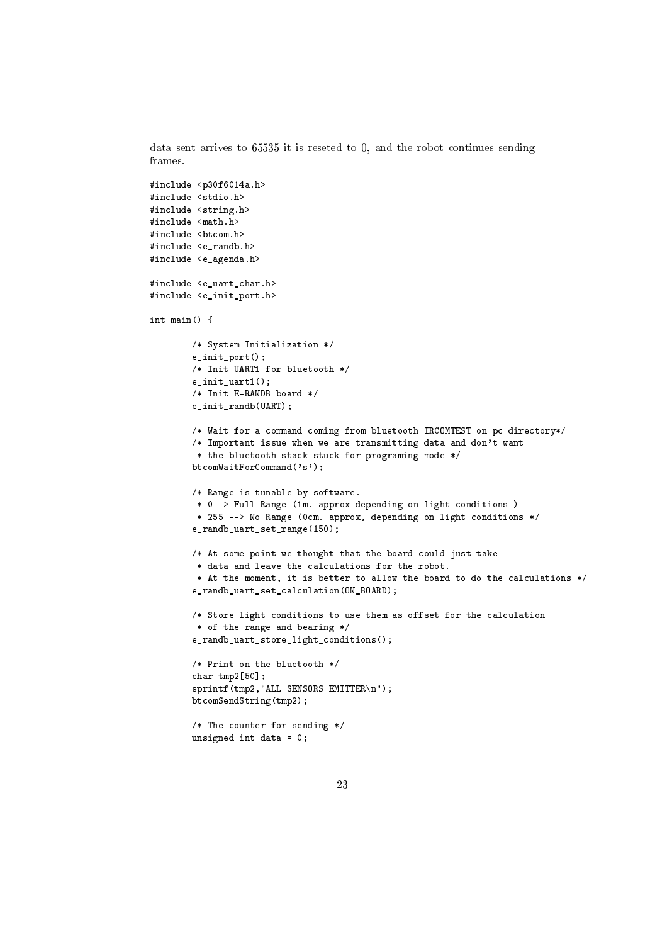data sent arrives to 65535 it is reseted to 0, and the robot continues sending frames.

```
#include <p30f6014a.h>
#include <stdio.h>
#include <string.h>
#include <math.h>
#include <br/> <br/> <br/> <br/> <br/> <br/> <br/> <br/> <br/> <br/> <br/> <br/> <br/> <br/> <br/> <br/> \, <br/>\, <br/>\, <br/>\, <br/>\, <br/>\, <br/>\, <br/>\, <br/>\, <br/>\, <br/>\, \, \, <b
#include <e_randb.h>
#include <e_agenda.h>
#include <e_uart_char.h>
#include <e_init_port.h>
int main() {
         /* System Initialization */
         e_init_port();
         /* Init UART1 for bluetooth */
         e_init_uart1();
         /* Init E-RANDB board */
         e_init_randb(UART);
         /* Wait for a command coming from bluetooth IRCOMTEST on pc directory*/
         /* Important issue when we are transmitting data and don't want
          * the bluetooth stack stuck for programing mode */
         btcomWaitForCommand('s');
         /* Range is tunable by software.
          * 0 -> Full Range (1m. approx depending on light conditions )
          * 255 --> No Range (0cm. approx, depending on light conditions */
         e_randb_uart_set_range(150);
         /* At some point we thought that the board could just take
          * data and leave the calculations for the robot.
          * At the moment, it is better to allow the board to do the calculations */
         e_randb_uart_set_calculation(ON_BOARD);
         /* Store light conditions to use them as offset for the calculation
          * of the range and bearing */
         e_randb_uart_store_light_conditions();
         /* Print on the bluetooth */
         char tmp2[50];
         sprintf(tmp2,"ALL SENSORS EMITTER\n");
         btcomSendString(tmp2);
         /* The counter for sending */
         unsigned int data = 0;
```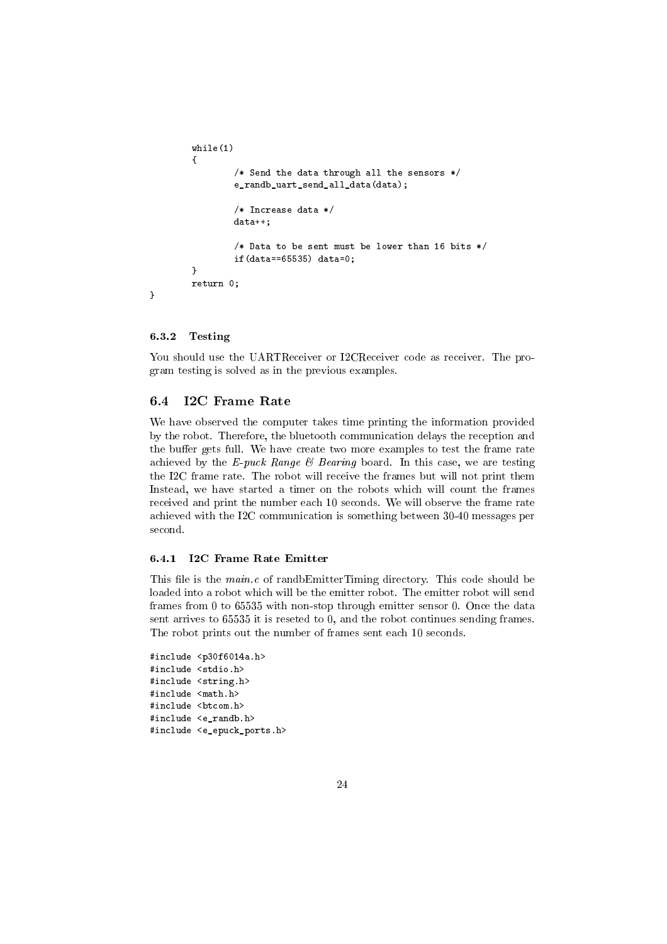```
while(1)
        {
                /* Send the data through all the sensors */
                e_randb_uart_send_all_data(data);
                /* Increase data */
                data++;
                /* Data to be sent must be lower than 16 bits */
                if(data==65535) data=0;
        }
        return 0;
}
```
#### <span id="page-23-0"></span>6.3.2 Testing

You should use the UARTReceiver or I2CReceiver code as receiver. The program testing is solved as in the previous examples.

## <span id="page-23-1"></span>6.4 I2C Frame Rate

We have observed the computer takes time printing the information provided by the robot. Therefore, the bluetooth communication delays the reception and the buffer gets full. We have create two more examples to test the frame rate achieved by the E-puck Range  $\mathcal B$  Bearing board. In this case, we are testing the I2C frame rate. The robot will receive the frames but will not print them Instead, we have started a timer on the robots which will count the frames received and print the number each 10 seconds. We will observe the frame rate achieved with the I2C communication is something between 30-40 messages per second.

#### <span id="page-23-2"></span>6.4.1 I2C Frame Rate Emitter

This file is the  $main.c$  of randbEmitterTiming directory. This code should be loaded into a robot which will be the emitter robot. The emitter robot will send frames from 0 to 65535 with non-stop through emitter sensor 0. Once the data sent arrives to 65535 it is reseted to 0, and the robot continues sending frames. The robot prints out the number of frames sent each 10 seconds.

```
#include <p30f6014a.h>
#include <stdio.h>
#include <string.h>
#include <math.h>
#include <btcom.h>
#include <e_randb.h>
#include <e_epuck_ports.h>
```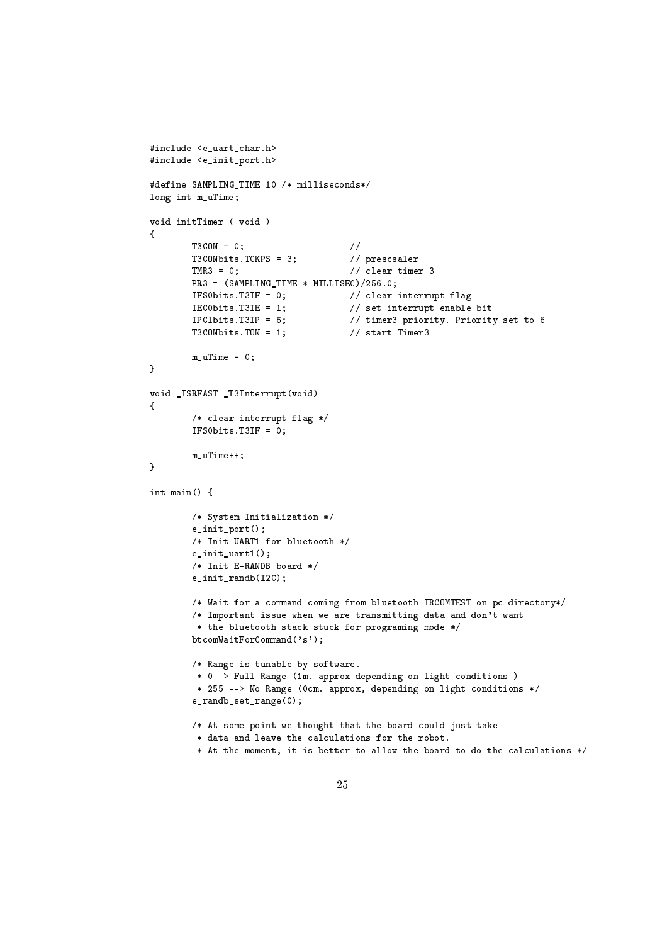```
#include <e uart char.h>
#include <e_init_port.h>
#define SAMPLING_TIME 10 /* milliseconds*/
long int m_uTime;
void initTimer ( void )
{
        T3CON = 0; //
        T3CONbits.TCKPS = 3; // prescsaler
        \texttt{TMR3} = 0; // clear timer 3
        PR3 = (SAMPLING_TIME * MILLISEC)/256.0;
        IFS0bits.T3IF = 0; // clear interrupt flag
        IEC0bits.T3IE = 1; // set interrupt enable bit
        IPC1bits.T3IP = 6; \frac{1}{2} // timer3 priority. Priority set to 6<br>T3CONbits.T0N = 1; \frac{1}{2} // start Timer3
        T3CONbits.TON = 1;m_uTime = 0;
}
void _ISRFAST _T3Interrupt(void)
{
        /* clear interrupt flag */
        IFS0bits.T3IF = 0;
        m_uTime++;
}
int main() {
        /* System Initialization */
        e_init_port();
        /* Init UART1 for bluetooth */
        e_init_uart1();
        /* Init E-RANDB board */
        e_init_randb(I2C);
        /* Wait for a command coming from bluetooth IRCOMTEST on pc directory*/
        /* Important issue when we are transmitting data and don't want
        * the bluetooth stack stuck for programing mode */
        btcomWaitForCommand('s');
        /* Range is tunable by software.
        * 0 -> Full Range (1m. approx depending on light conditions )
         * 255 --> No Range (0cm. approx, depending on light conditions */
        e_randb_set_range(0);
        /* At some point we thought that the board could just take
        * data and leave the calculations for the robot.
         * At the moment, it is better to allow the board to do the calculations */
```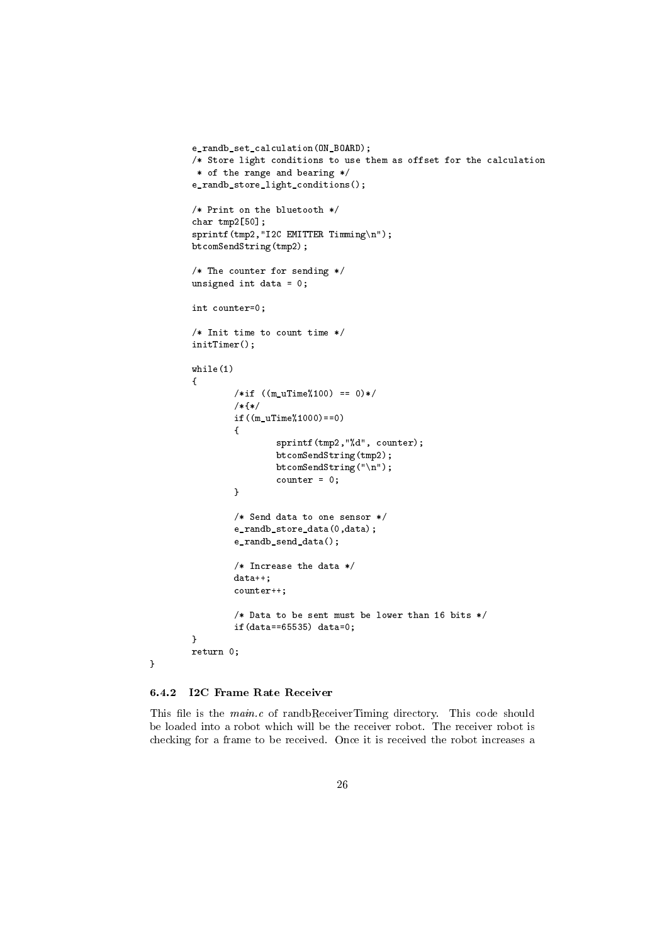```
e_randb_set_calculation(ON_BOARD);
/* Store light conditions to use them as offset for the calculation
 * of the range and bearing */
e_randb_store_light_conditions();
/* Print on the bluetooth */
char tmp2[50];
sprintf(tmp2,"I2C EMITTER Timming\n");
btcomSendString(tmp2);
/* The counter for sending */
unsigned int data = 0;
int counter=0;
/* Init time to count time */
initTimer();
while(1)
{
        /*if ((m_uTime%100) == 0)*/
        /*{*/
        if((m_uTime%1000)==0)
        \mathfrak{t}sprintf(tmp2,"%d", counter);
                btcomSendString(tmp2);
                btcomSendString("\n");
                counter = 0;}
        /* Send data to one sensor */
        e_randb_store_data(0,data);
        e_randb_send_data();
        /* Increase the data */
        data++;
        counter++;
        /* Data to be sent must be lower than 16 bits */if(data==65535) data=0;
}
return 0;
```
#### <span id="page-25-0"></span>6.4.2 I2C Frame Rate Receiver

}

This file is the *main.c* of randbReceiverTiming directory. This code should be loaded into a robot which will be the receiver robot. The receiver robot is checking for a frame to be received. Once it is received the robot increases a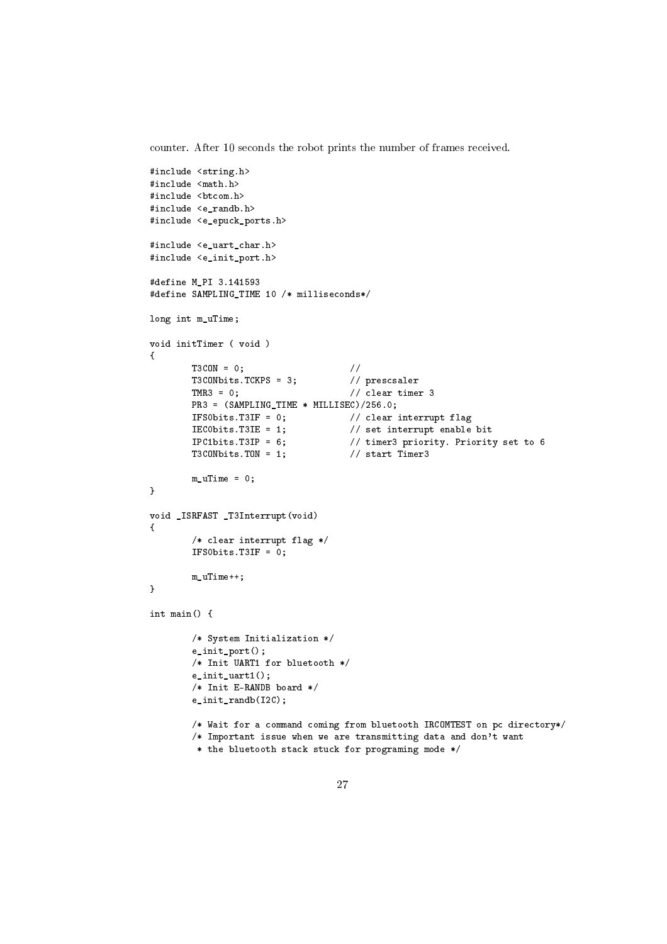counter. After 10 seconds the robot prints the number of frames received.

```
#include <string.h>
#include <math.h>
#include <br/>btcom.h>
#include <e_randb.h>
#include <e_epuck_ports.h>
#include <e_uart_char.h>
#include <e_init_port.h>
#define M_PI 3.141593
#define SAMPLING_TIME 10 /* milliseconds*/
long int m_uTime;
void initTimer ( void )
{
        T3CON = 0; //
        T3CONbits.TCKPS = 3; // prescsaler
        \texttt{TMR3} = 0; // clear timer 3
        PR3 = (SAMPLING_TIME * MILLISEC)/256.0;
        IFS0bits.T3IF = 0; // clear interrupt flag<br>IEC0bits.T3IE = 1; // set interrupt enable
        IECObits.T3IE = 1; \frac{1}{2} // set interrupt enable bit<br>IPC1bits.T3IP = 6; \frac{1}{2} // timer3 priority. Priorit
                                       // timer3 priority. Priority set to 6
        T3CONbits.TON = 1; \frac{1}{2} // start Timer3
        m uTime = 0;
}
void _ISRFAST _T3Interrupt(void)
{
        /* clear interrupt flag */
        IFS0bits.T3IF = 0;
        m_uTime++;
}
int main() {
        /* System Initialization */
        e_init_port();
        /* Init UART1 for bluetooth */
        e_init_uart1();
        /* Init E-RANDB board */
        e_init_randb(I2C);
        /* Wait for a command coming from bluetooth IRCOMTEST on pc directory*/
        /* Important issue when we are transmitting data and don't want
         * the bluetooth stack stuck for programing mode */
```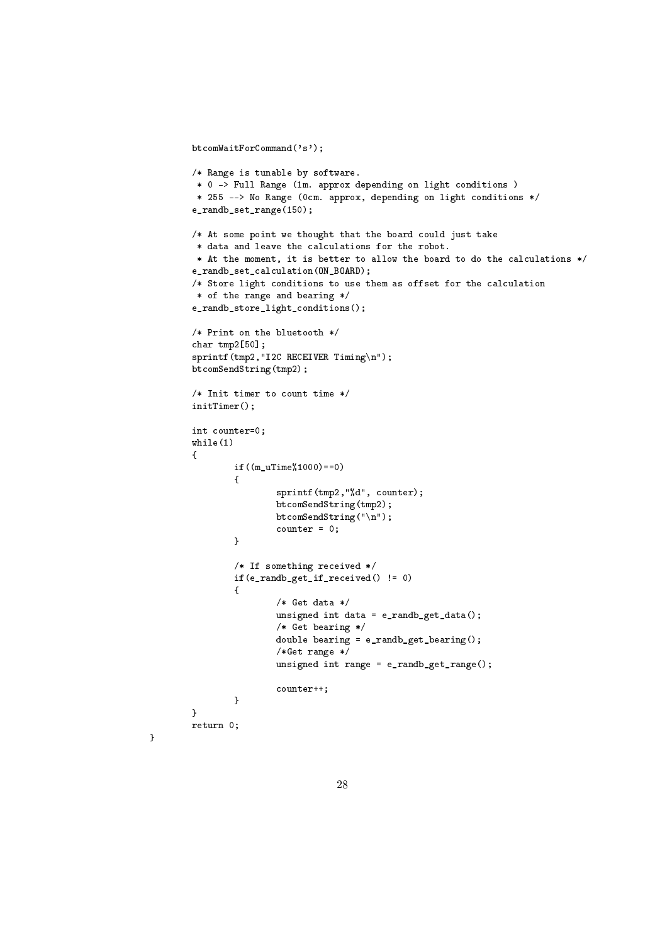```
btcomWaitForCommand('s');
/* Range is tunable by software.
* 0 -> Full Range (1m. approx depending on light conditions )
 * 255 --> No Range (0cm. approx, depending on light conditions */
e_randb_set_range(150);
/* At some point we thought that the board could just take
* data and leave the calculations for the robot.
* At the moment, it is better to allow the board to do the calculations */
e_randb_set_calculation(ON_BOARD);
/* Store light conditions to use them as offset for the calculation
* of the range and bearing */
e_randb_store_light_conditions();
/* Print on the bluetooth */
char tmp2[50];
sprintf(tmp2,"I2C RECEIVER Timing\n");
btcomSendString(tmp2);
/* Init timer to count time */
initTimer();
int counter=0;
while(1)
{
        if((m_uTime%1000)==0)
        {
                sprintf(tmp2,"%d", counter);
                btcomSendString(tmp2);
                btcomSendString("\n");
                counter = 0;}
        /* If something received */
        if(e_randb_get_if_received() != 0)
        \overline{f}/* Get data */
                unsigned int data = e_randb_get_data();
                /* Get bearing */
                double bearing = e_randb_get_bearing();
                /*Get range */
                unsigned int range = e_randb_get_range();
                counter++;
        }
}
return 0;
```
}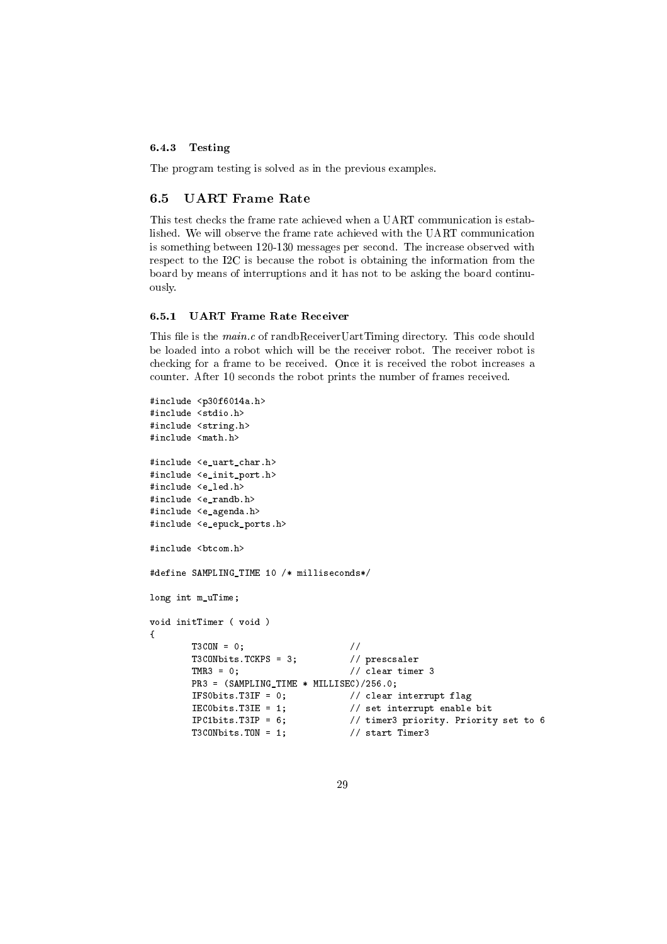#### <span id="page-28-0"></span>6.4.3 Testing

The program testing is solved as in the previous examples.

#### <span id="page-28-1"></span>6.5 UART Frame Rate

This test checks the frame rate achieved when a UART communication is established. We will observe the frame rate achieved with the UART communication is something between 120-130 messages per second. The increase observed with respect to the I2C is because the robot is obtaining the information from the board by means of interruptions and it has not to be asking the board continuously.

#### <span id="page-28-2"></span>6.5.1 UART Frame Rate Receiver

This file is the  $main.c$  of randbReceiverUartTiming directory. This code should be loaded into a robot which will be the receiver robot. The receiver robot is checking for a frame to be received. Once it is received the robot increases a counter. After 10 seconds the robot prints the number of frames received.

```
#include <p30f6014a.h>
#include <stdio.h>
#include <string.h>
#include <math.h>
#include <e_uart_char.h>
#include <e_init_port.h>
#include <e_led.h>
#include <e_randb.h>
#include <e_agenda.h>
#include <e_epuck_ports.h>
#include <btcom.h>
#define SAMPLING_TIME 10 /* milliseconds*/
long int m_uTime;
void initTimer ( void )
{
        T3CON = 0; //
        T3CONbits.TCKPS = 3; \frac{7}{2} // prescsaler<br>TMR3 = 0: \frac{7}{2} // clear time
                                          1/ clear timer 3
        PR3 = (SAMPLING TIME * MILLISEC)/256.0;IFS0bits.T3IF = 0; \frac{1}{2} // clear interrupt flag<br>IEC0bits.T3IE = 1; \frac{1}{2} // set interrupt enable
                                          // set interrupt enable bit
        IPC1bits.T3IP = 6; \frac{1}{2} timer3 priority. Priority set to 6
        T3CONbits.TON = 1; // start Timer3
```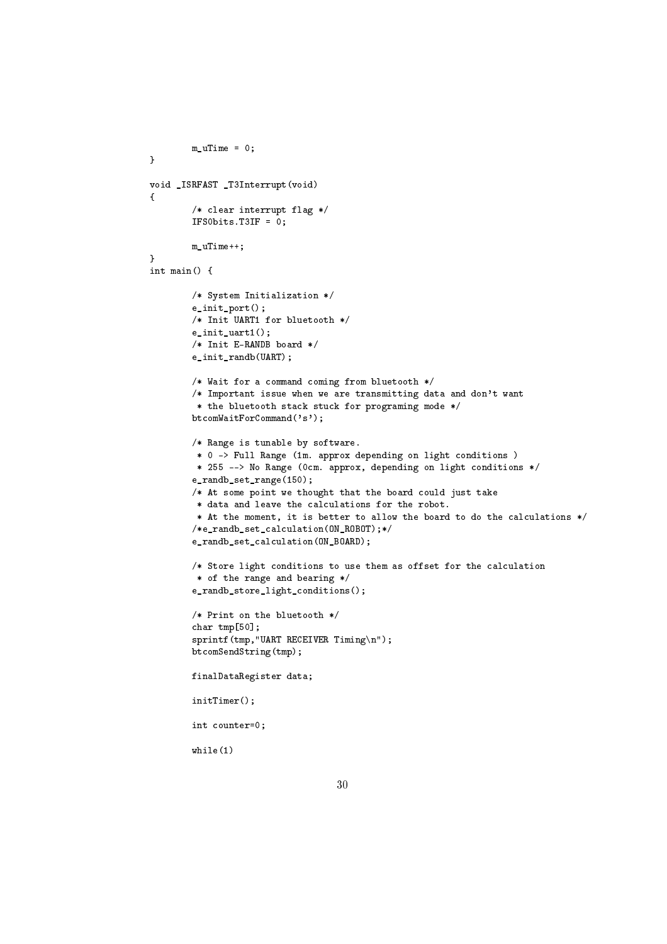```
m uTime = 0;
void _ISRFAST _T3Interrupt(void)
        /* clear interrupt flag */
        IFS0bits.T3IF = 0;
        m_uTime++;
int main() {
        /* System Initialization */
        e_init_port();
        /* Init UART1 for bluetooth */
        e_init_uart1();
        /* Init E-RANDB board */
        e_init_randb(UART);
        /* Wait for a command coming from bluetooth */
        /* Important issue when we are transmitting data and don't want
        * the bluetooth stack stuck for programing mode */
        btcomWaitForCommand('s');
        /* Range is tunable by software.
         * 0 -> Full Range (1m. approx depending on light conditions )
         * 255 --> No Range (0cm. approx, depending on light conditions */
        e_randb_set_range(150);
        /* At some point we thought that the board could just take
         * data and leave the calculations for the robot.
         * At the moment, it is better to allow the board to do the calculations */
        /*e_randb_set_calculation(ON_ROBOT);*/
        e_randb_set_calculation(ON_BOARD);
        /* Store light conditions to use them as offset for the calculation
         * of the range and bearing */
        e_randb_store_light_conditions();
        /* Print on the bluetooth */
        char tmp[50];
        sprintf(tmp,"UART RECEIVER Timing\n");
        btcomSendString(tmp);
        finalDataRegister data;
        initTimer();
        int counter=0;
        while(1)
```
}

{

}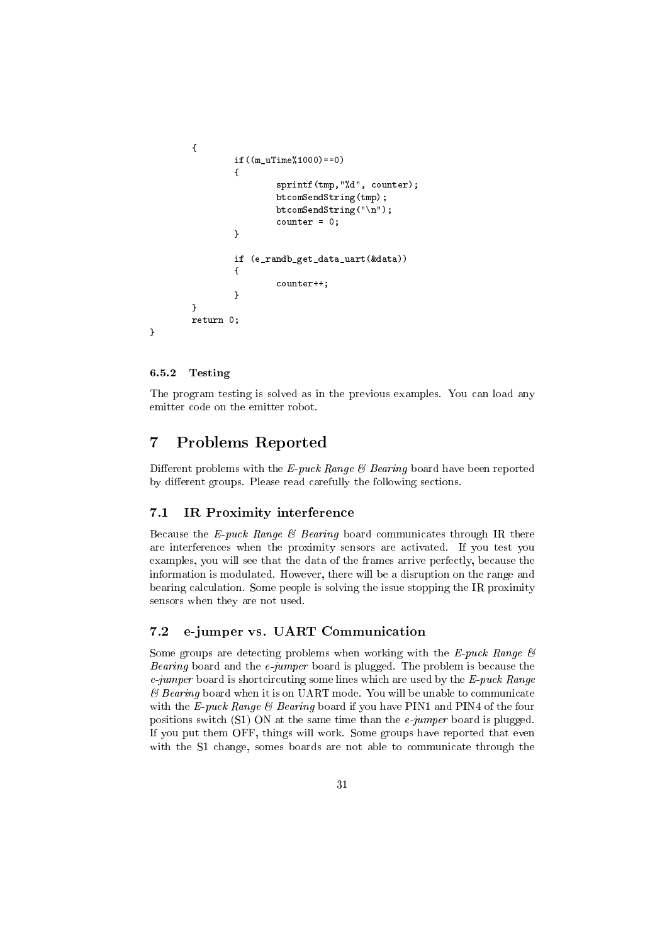```
{
        if((m_uTime%1000)==0)
        {
                sprintf(tmp,"%d", counter);
                btcomSendString(tmp);
                btcomSendString("\n");
                counter = 0;}
        if (e_randb_get_data_uart(&data))
        {
                counter++;
        }
}
return 0;
```
#### <span id="page-30-0"></span>6.5.2 Testing

}

The program testing is solved as in the previous examples. You can load any emitter code on the emitter robot.

## <span id="page-30-1"></span>7 Problems Reported

Different problems with the E-puck Range  $\mathcal B$  Bearing board have been reported by different groups. Please read carefully the following sections.

#### 7.1 IR Proximity interference

Because the E-puck Range  $\mathcal B$  Bearing board communicates through IR there are interferences when the proximity sensors are activated. If you test you examples, you will see that the data of the frames arrive perfectly, because the information is modulated. However, there will be a disruption on the range and bearing calculation. Some people is solving the issue stopping the IR proximity sensors when they are not used.

## 7.2 e-jumper vs. UART Communication

Some groups are detecting problems when working with the  $E$ -puck Range  $\mathcal{C}$ Bearing board and the  $e$ -jumper board is plugged. The problem is because the  $e$ -jumper board is shortcircuting some lines which are used by the  $E$ -puck Range  $\mathscr B$  Bearing board when it is on UART mode. You will be unable to communicate with the E-puck Range  $\mathcal B$  Bearing board if you have PIN1 and PIN4 of the four positions switch (S1) ON at the same time than the  $e\text{-}jumper$  board is plugged. If you put them OFF, things will work. Some groups have reported that even with the S1 change, somes boards are not able to communicate through the